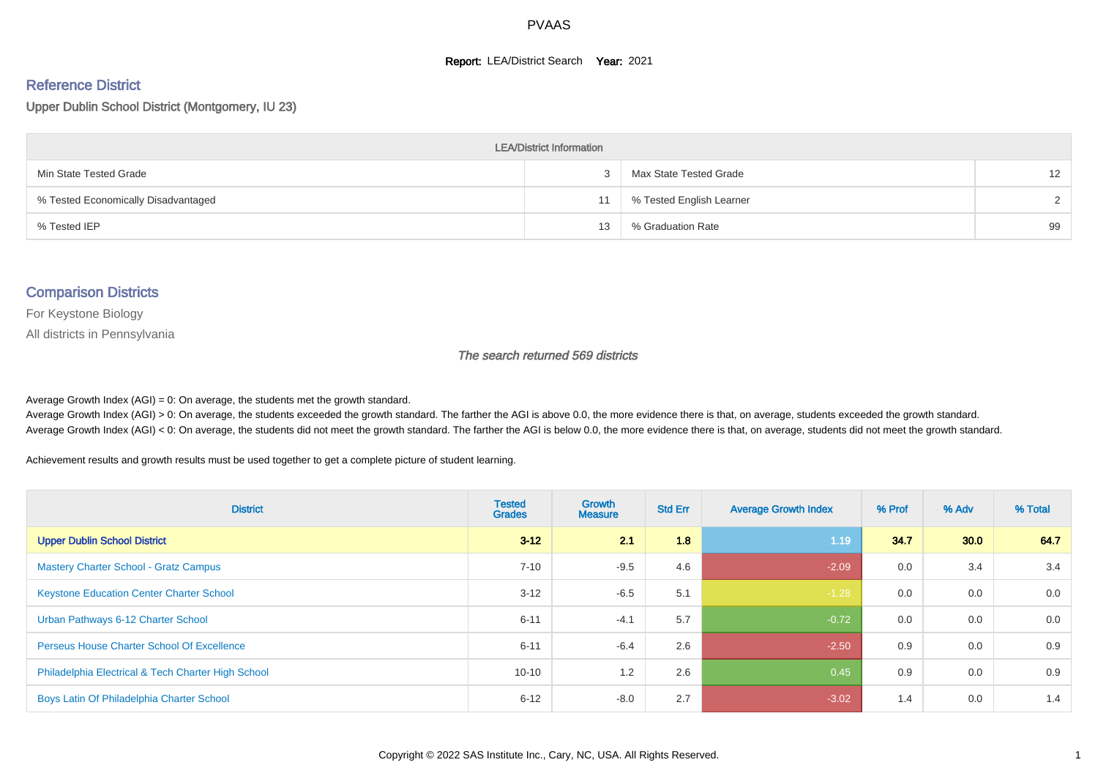#### **Report: LEA/District Search Year: 2021**

#### Reference District

Upper Dublin School District (Montgomery, IU 23)

| <b>LEA/District Information</b>     |    |                          |               |  |  |  |  |  |  |  |
|-------------------------------------|----|--------------------------|---------------|--|--|--|--|--|--|--|
| Min State Tested Grade              |    | Max State Tested Grade   | 12            |  |  |  |  |  |  |  |
| % Tested Economically Disadvantaged | 11 | % Tested English Learner | $\mathcal{D}$ |  |  |  |  |  |  |  |
| % Tested IEP                        | 13 | % Graduation Rate        | 99            |  |  |  |  |  |  |  |

#### Comparison Districts

For Keystone Biology

All districts in Pennsylvania

The search returned 569 districts

Average Growth Index  $(AGI) = 0$ : On average, the students met the growth standard.

Average Growth Index (AGI) > 0: On average, the students exceeded the growth standard. The farther the AGI is above 0.0, the more evidence there is that, on average, students exceeded the growth standard. Average Growth Index (AGI) < 0: On average, the students did not meet the growth standard. The farther the AGI is below 0.0, the more evidence there is that, on average, students did not meet the growth standard.

Achievement results and growth results must be used together to get a complete picture of student learning.

| <b>District</b>                                    | <b>Tested</b><br><b>Grades</b> | <b>Growth</b><br><b>Measure</b> | <b>Std Err</b> | <b>Average Growth Index</b> | % Prof | % Adv | % Total |
|----------------------------------------------------|--------------------------------|---------------------------------|----------------|-----------------------------|--------|-------|---------|
| <b>Upper Dublin School District</b>                | $3 - 12$                       | 2.1                             | 1.8            | 1.19                        | 34.7   | 30.0  | 64.7    |
| <b>Mastery Charter School - Gratz Campus</b>       | $7 - 10$                       | $-9.5$                          | 4.6            | $-2.09$                     | 0.0    | 3.4   | 3.4     |
| <b>Keystone Education Center Charter School</b>    | $3 - 12$                       | $-6.5$                          | 5.1            | $-1.28$                     | 0.0    | 0.0   | 0.0     |
| Urban Pathways 6-12 Charter School                 | $6 - 11$                       | $-4.1$                          | 5.7            | $-0.72$                     | 0.0    | 0.0   | 0.0     |
| <b>Perseus House Charter School Of Excellence</b>  | $6 - 11$                       | $-6.4$                          | 2.6            | $-2.50$                     | 0.9    | 0.0   | 0.9     |
| Philadelphia Electrical & Tech Charter High School | $10 - 10$                      | 1.2                             | 2.6            | 0.45                        | 0.9    | 0.0   | 0.9     |
| Boys Latin Of Philadelphia Charter School          | $6 - 12$                       | $-8.0$                          | 2.7            | $-3.02$                     | 1.4    | 0.0   | 1.4     |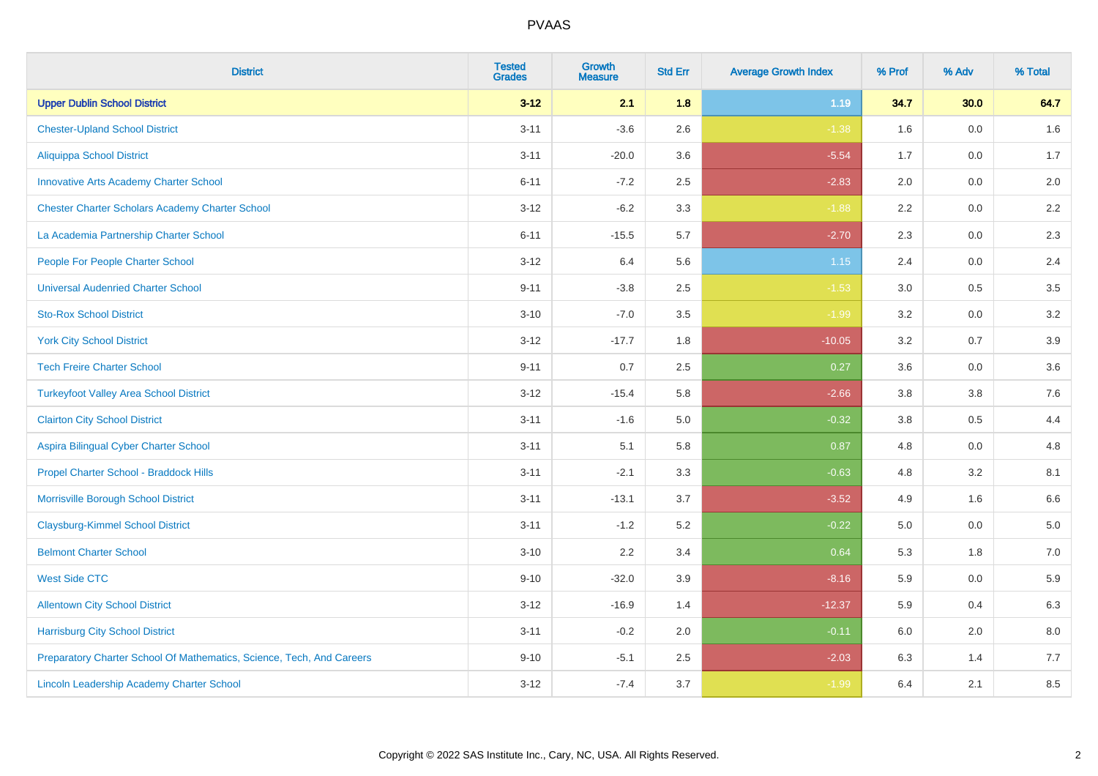| <b>District</b>                                                       | <b>Tested</b><br><b>Grades</b> | Growth<br><b>Measure</b> | <b>Std Err</b> | <b>Average Growth Index</b> | % Prof | % Adv | % Total |
|-----------------------------------------------------------------------|--------------------------------|--------------------------|----------------|-----------------------------|--------|-------|---------|
| <b>Upper Dublin School District</b>                                   | $3 - 12$                       | 2.1                      | 1.8            | $1.19$                      | 34.7   | 30.0  | 64.7    |
| <b>Chester-Upland School District</b>                                 | $3 - 11$                       | $-3.6$                   | 2.6            | $-1.38$                     | 1.6    | 0.0   | 1.6     |
| <b>Aliquippa School District</b>                                      | $3 - 11$                       | $-20.0$                  | 3.6            | $-5.54$                     | 1.7    | 0.0   | 1.7     |
| <b>Innovative Arts Academy Charter School</b>                         | $6 - 11$                       | $-7.2$                   | 2.5            | $-2.83$                     | 2.0    | 0.0   | $2.0\,$ |
| <b>Chester Charter Scholars Academy Charter School</b>                | $3 - 12$                       | $-6.2$                   | 3.3            | $-1.88$                     | 2.2    | 0.0   | 2.2     |
| La Academia Partnership Charter School                                | $6 - 11$                       | $-15.5$                  | 5.7            | $-2.70$                     | 2.3    | 0.0   | 2.3     |
| People For People Charter School                                      | $3 - 12$                       | 6.4                      | 5.6            | 1.15                        | 2.4    | 0.0   | $2.4\,$ |
| <b>Universal Audenried Charter School</b>                             | $9 - 11$                       | $-3.8$                   | 2.5            | $-1.53$                     | 3.0    | 0.5   | 3.5     |
| <b>Sto-Rox School District</b>                                        | $3 - 10$                       | $-7.0$                   | 3.5            | $-1.99$                     | 3.2    | 0.0   | 3.2     |
| <b>York City School District</b>                                      | $3 - 12$                       | $-17.7$                  | 1.8            | $-10.05$                    | 3.2    | 0.7   | 3.9     |
| <b>Tech Freire Charter School</b>                                     | $9 - 11$                       | 0.7                      | 2.5            | 0.27                        | 3.6    | 0.0   | 3.6     |
| <b>Turkeyfoot Valley Area School District</b>                         | $3 - 12$                       | $-15.4$                  | 5.8            | $-2.66$                     | 3.8    | 3.8   | 7.6     |
| <b>Clairton City School District</b>                                  | $3 - 11$                       | $-1.6$                   | 5.0            | $-0.32$                     | 3.8    | 0.5   | 4.4     |
| Aspira Bilingual Cyber Charter School                                 | $3 - 11$                       | 5.1                      | 5.8            | 0.87                        | 4.8    | 0.0   | 4.8     |
| Propel Charter School - Braddock Hills                                | $3 - 11$                       | $-2.1$                   | 3.3            | $-0.63$                     | 4.8    | 3.2   | 8.1     |
| Morrisville Borough School District                                   | $3 - 11$                       | $-13.1$                  | 3.7            | $-3.52$                     | 4.9    | 1.6   | 6.6     |
| <b>Claysburg-Kimmel School District</b>                               | $3 - 11$                       | $-1.2$                   | 5.2            | $-0.22$                     | 5.0    | 0.0   | 5.0     |
| <b>Belmont Charter School</b>                                         | $3 - 10$                       | 2.2                      | 3.4            | 0.64                        | 5.3    | 1.8   | $7.0\,$ |
| <b>West Side CTC</b>                                                  | $9 - 10$                       | $-32.0$                  | 3.9            | $-8.16$                     | 5.9    | 0.0   | 5.9     |
| <b>Allentown City School District</b>                                 | $3 - 12$                       | $-16.9$                  | 1.4            | $-12.37$                    | 5.9    | 0.4   | 6.3     |
| <b>Harrisburg City School District</b>                                | $3 - 11$                       | $-0.2$                   | 2.0            | $-0.11$                     | 6.0    | 2.0   | 8.0     |
| Preparatory Charter School Of Mathematics, Science, Tech, And Careers | $9 - 10$                       | $-5.1$                   | 2.5            | $-2.03$                     | 6.3    | 1.4   | 7.7     |
| Lincoln Leadership Academy Charter School                             | $3 - 12$                       | $-7.4$                   | 3.7            | $-1.99$                     | 6.4    | 2.1   | 8.5     |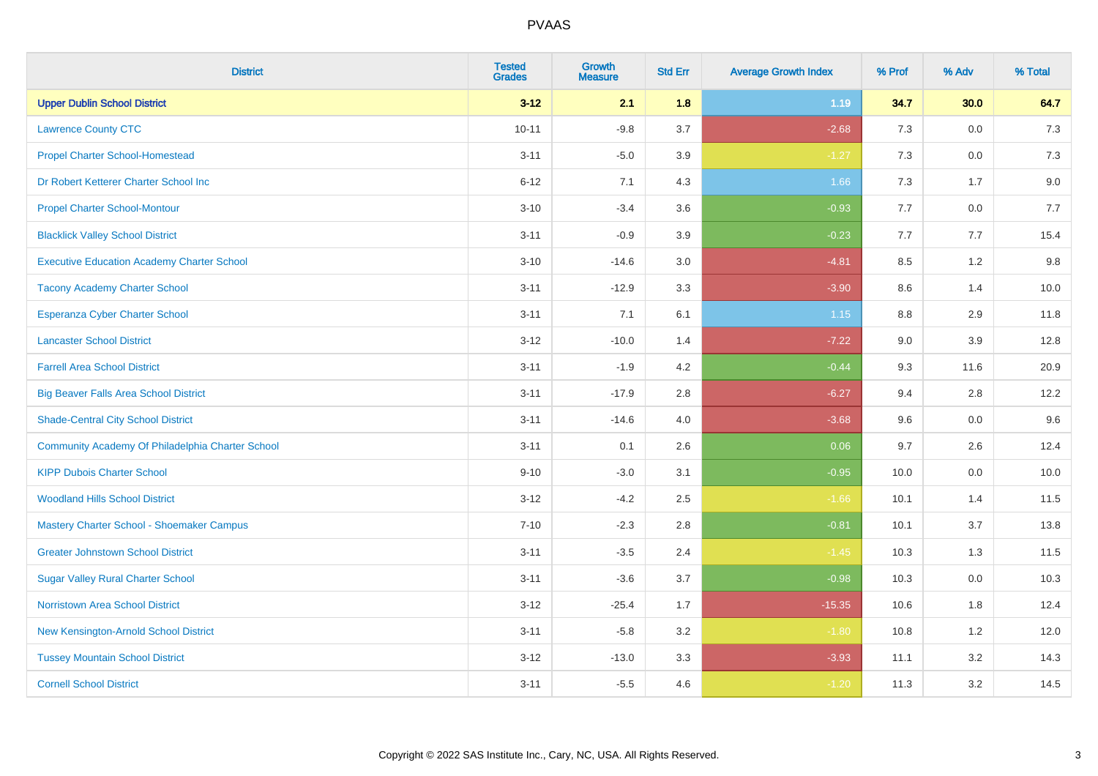| <b>District</b>                                   | <b>Tested</b><br><b>Grades</b> | Growth<br><b>Measure</b> | <b>Std Err</b> | <b>Average Growth Index</b> | % Prof | % Adv   | % Total |
|---------------------------------------------------|--------------------------------|--------------------------|----------------|-----------------------------|--------|---------|---------|
| <b>Upper Dublin School District</b>               | $3 - 12$                       | 2.1                      | 1.8            | 1.19                        | 34.7   | 30.0    | 64.7    |
| <b>Lawrence County CTC</b>                        | $10 - 11$                      | $-9.8$                   | 3.7            | $-2.68$                     | 7.3    | 0.0     | 7.3     |
| <b>Propel Charter School-Homestead</b>            | $3 - 11$                       | $-5.0$                   | 3.9            | $-1.27$                     | 7.3    | 0.0     | 7.3     |
| Dr Robert Ketterer Charter School Inc             | $6 - 12$                       | 7.1                      | 4.3            | 1.66                        | $7.3$  | 1.7     | 9.0     |
| <b>Propel Charter School-Montour</b>              | $3 - 10$                       | $-3.4$                   | 3.6            | $-0.93$                     | 7.7    | $0.0\,$ | 7.7     |
| <b>Blacklick Valley School District</b>           | $3 - 11$                       | $-0.9$                   | 3.9            | $-0.23$                     | 7.7    | 7.7     | 15.4    |
| <b>Executive Education Academy Charter School</b> | $3 - 10$                       | $-14.6$                  | 3.0            | $-4.81$                     | 8.5    | $1.2$   | 9.8     |
| <b>Tacony Academy Charter School</b>              | $3 - 11$                       | $-12.9$                  | 3.3            | $-3.90$                     | 8.6    | 1.4     | 10.0    |
| <b>Esperanza Cyber Charter School</b>             | $3 - 11$                       | 7.1                      | 6.1            | 1.15                        | 8.8    | 2.9     | 11.8    |
| <b>Lancaster School District</b>                  | $3 - 12$                       | $-10.0$                  | 1.4            | $-7.22$                     | 9.0    | 3.9     | 12.8    |
| <b>Farrell Area School District</b>               | $3 - 11$                       | $-1.9$                   | 4.2            | $-0.44$                     | 9.3    | 11.6    | 20.9    |
| <b>Big Beaver Falls Area School District</b>      | $3 - 11$                       | $-17.9$                  | 2.8            | $-6.27$                     | 9.4    | 2.8     | 12.2    |
| <b>Shade-Central City School District</b>         | $3 - 11$                       | $-14.6$                  | 4.0            | $-3.68$                     | 9.6    | 0.0     | 9.6     |
| Community Academy Of Philadelphia Charter School  | $3 - 11$                       | 0.1                      | 2.6            | 0.06                        | 9.7    | 2.6     | 12.4    |
| <b>KIPP Dubois Charter School</b>                 | $9 - 10$                       | $-3.0$                   | 3.1            | $-0.95$                     | 10.0   | $0.0\,$ | 10.0    |
| <b>Woodland Hills School District</b>             | $3 - 12$                       | $-4.2$                   | 2.5            | $-1.66$                     | 10.1   | 1.4     | 11.5    |
| Mastery Charter School - Shoemaker Campus         | $7 - 10$                       | $-2.3$                   | 2.8            | $-0.81$                     | 10.1   | 3.7     | 13.8    |
| <b>Greater Johnstown School District</b>          | $3 - 11$                       | $-3.5$                   | 2.4            | $-1.45$                     | 10.3   | 1.3     | 11.5    |
| <b>Sugar Valley Rural Charter School</b>          | $3 - 11$                       | $-3.6$                   | 3.7            | $-0.98$                     | 10.3   | $0.0\,$ | 10.3    |
| Norristown Area School District                   | $3 - 12$                       | $-25.4$                  | 1.7            | $-15.35$                    | 10.6   | 1.8     | 12.4    |
| New Kensington-Arnold School District             | $3 - 11$                       | $-5.8$                   | 3.2            | $-1.80$                     | 10.8   | 1.2     | 12.0    |
| <b>Tussey Mountain School District</b>            | $3 - 12$                       | $-13.0$                  | 3.3            | $-3.93$                     | 11.1   | 3.2     | 14.3    |
| <b>Cornell School District</b>                    | $3 - 11$                       | $-5.5$                   | 4.6            | $-1.20$                     | 11.3   | 3.2     | 14.5    |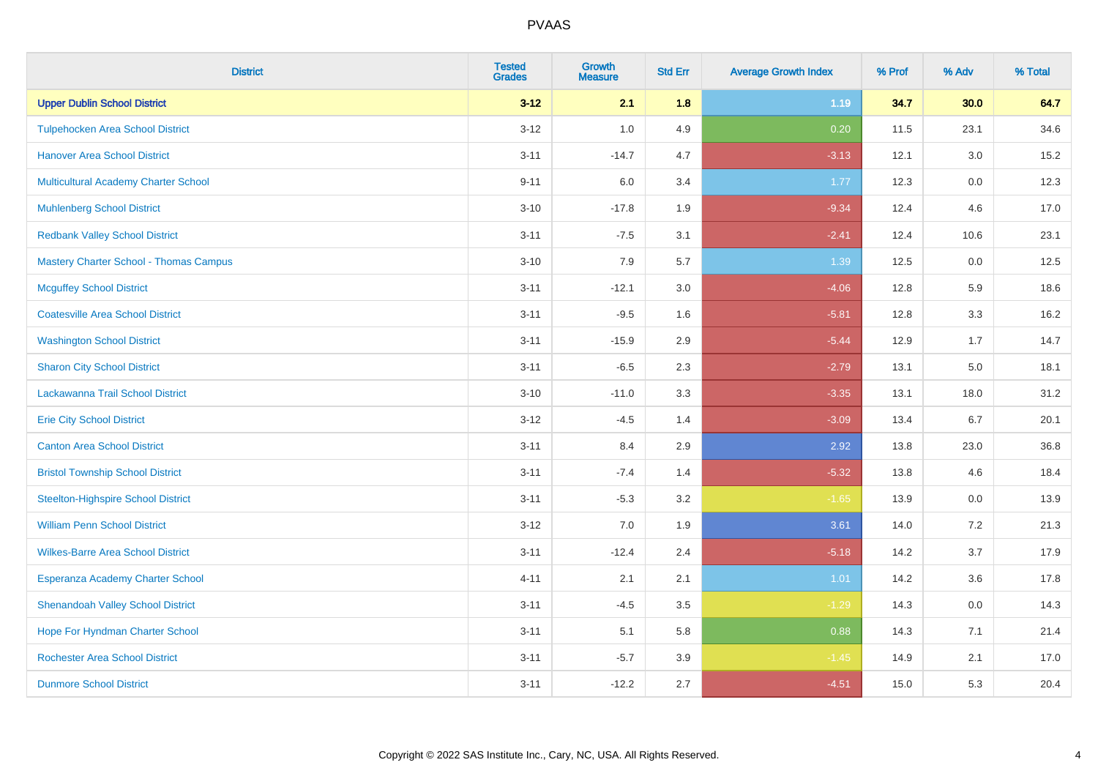| <b>District</b>                               | <b>Tested</b><br><b>Grades</b> | <b>Growth</b><br><b>Measure</b> | <b>Std Err</b> | <b>Average Growth Index</b> | % Prof | % Adv   | % Total |
|-----------------------------------------------|--------------------------------|---------------------------------|----------------|-----------------------------|--------|---------|---------|
| <b>Upper Dublin School District</b>           | $3 - 12$                       | 2.1                             | 1.8            | 1.19                        | 34.7   | 30.0    | 64.7    |
| <b>Tulpehocken Area School District</b>       | $3 - 12$                       | 1.0                             | 4.9            | 0.20                        | 11.5   | 23.1    | 34.6    |
| <b>Hanover Area School District</b>           | $3 - 11$                       | $-14.7$                         | 4.7            | $-3.13$                     | 12.1   | 3.0     | 15.2    |
| Multicultural Academy Charter School          | $9 - 11$                       | 6.0                             | 3.4            | 1.77                        | 12.3   | $0.0\,$ | 12.3    |
| <b>Muhlenberg School District</b>             | $3 - 10$                       | $-17.8$                         | 1.9            | $-9.34$                     | 12.4   | 4.6     | 17.0    |
| <b>Redbank Valley School District</b>         | $3 - 11$                       | $-7.5$                          | 3.1            | $-2.41$                     | 12.4   | 10.6    | 23.1    |
| <b>Mastery Charter School - Thomas Campus</b> | $3 - 10$                       | 7.9                             | 5.7            | 1.39                        | 12.5   | 0.0     | 12.5    |
| <b>Mcguffey School District</b>               | $3 - 11$                       | $-12.1$                         | 3.0            | $-4.06$                     | 12.8   | 5.9     | 18.6    |
| <b>Coatesville Area School District</b>       | $3 - 11$                       | $-9.5$                          | 1.6            | $-5.81$                     | 12.8   | 3.3     | 16.2    |
| <b>Washington School District</b>             | $3 - 11$                       | $-15.9$                         | 2.9            | $-5.44$                     | 12.9   | 1.7     | 14.7    |
| <b>Sharon City School District</b>            | $3 - 11$                       | $-6.5$                          | 2.3            | $-2.79$                     | 13.1   | 5.0     | 18.1    |
| Lackawanna Trail School District              | $3 - 10$                       | $-11.0$                         | 3.3            | $-3.35$                     | 13.1   | 18.0    | 31.2    |
| <b>Erie City School District</b>              | $3-12$                         | $-4.5$                          | 1.4            | $-3.09$                     | 13.4   | $6.7\,$ | 20.1    |
| <b>Canton Area School District</b>            | $3 - 11$                       | 8.4                             | 2.9            | 2.92                        | 13.8   | 23.0    | 36.8    |
| <b>Bristol Township School District</b>       | $3 - 11$                       | $-7.4$                          | 1.4            | $-5.32$                     | 13.8   | 4.6     | 18.4    |
| <b>Steelton-Highspire School District</b>     | $3 - 11$                       | $-5.3$                          | 3.2            | $-1.65$                     | 13.9   | $0.0\,$ | 13.9    |
| <b>William Penn School District</b>           | $3 - 12$                       | 7.0                             | 1.9            | 3.61                        | 14.0   | 7.2     | 21.3    |
| <b>Wilkes-Barre Area School District</b>      | $3 - 11$                       | $-12.4$                         | 2.4            | $-5.18$                     | 14.2   | 3.7     | 17.9    |
| Esperanza Academy Charter School              | $4 - 11$                       | 2.1                             | 2.1            | 1.01                        | 14.2   | 3.6     | 17.8    |
| <b>Shenandoah Valley School District</b>      | $3 - 11$                       | $-4.5$                          | 3.5            | $-1.29$                     | 14.3   | 0.0     | 14.3    |
| Hope For Hyndman Charter School               | $3 - 11$                       | 5.1                             | 5.8            | 0.88                        | 14.3   | 7.1     | 21.4    |
| <b>Rochester Area School District</b>         | $3 - 11$                       | $-5.7$                          | 3.9            | $-1.45$                     | 14.9   | 2.1     | 17.0    |
| <b>Dunmore School District</b>                | $3 - 11$                       | $-12.2$                         | 2.7            | $-4.51$                     | 15.0   | 5.3     | 20.4    |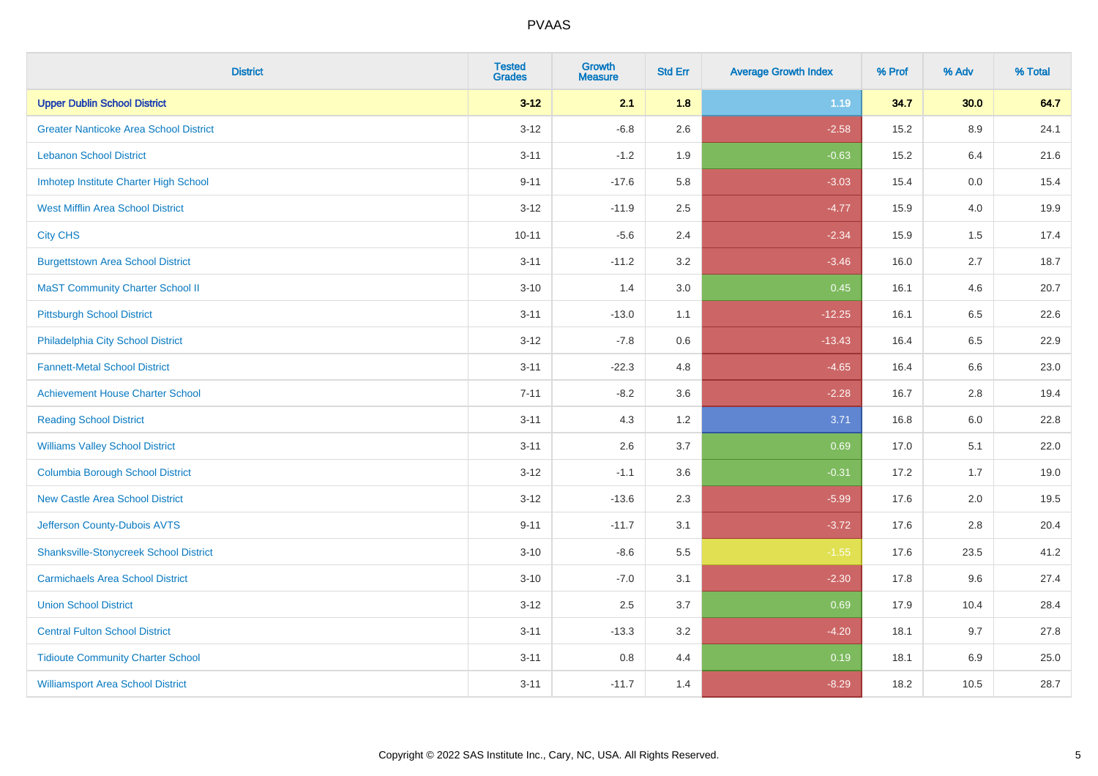| <b>District</b>                               | <b>Tested</b><br><b>Grades</b> | <b>Growth</b><br><b>Measure</b> | <b>Std Err</b> | <b>Average Growth Index</b> | % Prof | % Adv   | % Total |
|-----------------------------------------------|--------------------------------|---------------------------------|----------------|-----------------------------|--------|---------|---------|
| <b>Upper Dublin School District</b>           | $3 - 12$                       | 2.1                             | 1.8            | 1.19                        | 34.7   | 30.0    | 64.7    |
| <b>Greater Nanticoke Area School District</b> | $3 - 12$                       | $-6.8$                          | 2.6            | $-2.58$                     | 15.2   | $8.9\,$ | 24.1    |
| <b>Lebanon School District</b>                | $3 - 11$                       | $-1.2$                          | 1.9            | $-0.63$                     | 15.2   | 6.4     | 21.6    |
| Imhotep Institute Charter High School         | $9 - 11$                       | $-17.6$                         | 5.8            | $-3.03$                     | 15.4   | $0.0\,$ | 15.4    |
| <b>West Mifflin Area School District</b>      | $3 - 12$                       | $-11.9$                         | 2.5            | $-4.77$                     | 15.9   | 4.0     | 19.9    |
| <b>City CHS</b>                               | $10 - 11$                      | $-5.6$                          | 2.4            | $-2.34$                     | 15.9   | 1.5     | 17.4    |
| <b>Burgettstown Area School District</b>      | $3 - 11$                       | $-11.2$                         | 3.2            | $-3.46$                     | 16.0   | 2.7     | 18.7    |
| <b>MaST Community Charter School II</b>       | $3 - 10$                       | 1.4                             | 3.0            | 0.45                        | 16.1   | 4.6     | 20.7    |
| <b>Pittsburgh School District</b>             | $3 - 11$                       | $-13.0$                         | 1.1            | $-12.25$                    | 16.1   | 6.5     | 22.6    |
| Philadelphia City School District             | $3 - 12$                       | $-7.8$                          | 0.6            | $-13.43$                    | 16.4   | 6.5     | 22.9    |
| <b>Fannett-Metal School District</b>          | $3 - 11$                       | $-22.3$                         | 4.8            | $-4.65$                     | 16.4   | 6.6     | 23.0    |
| <b>Achievement House Charter School</b>       | $7 - 11$                       | $-8.2$                          | 3.6            | $-2.28$                     | 16.7   | 2.8     | 19.4    |
| <b>Reading School District</b>                | $3 - 11$                       | 4.3                             | 1.2            | 3.71                        | 16.8   | $6.0\,$ | 22.8    |
| <b>Williams Valley School District</b>        | $3 - 11$                       | 2.6                             | 3.7            | 0.69                        | 17.0   | 5.1     | 22.0    |
| <b>Columbia Borough School District</b>       | $3 - 12$                       | $-1.1$                          | 3.6            | $-0.31$                     | 17.2   | 1.7     | 19.0    |
| <b>New Castle Area School District</b>        | $3 - 12$                       | $-13.6$                         | 2.3            | $-5.99$                     | 17.6   | 2.0     | 19.5    |
| Jefferson County-Dubois AVTS                  | $9 - 11$                       | $-11.7$                         | 3.1            | $-3.72$                     | 17.6   | 2.8     | 20.4    |
| <b>Shanksville-Stonycreek School District</b> | $3 - 10$                       | $-8.6$                          | 5.5            | $-1.55$                     | 17.6   | 23.5    | 41.2    |
| <b>Carmichaels Area School District</b>       | $3 - 10$                       | $-7.0$                          | 3.1            | $-2.30$                     | 17.8   | 9.6     | 27.4    |
| <b>Union School District</b>                  | $3 - 12$                       | 2.5                             | 3.7            | 0.69                        | 17.9   | 10.4    | 28.4    |
| <b>Central Fulton School District</b>         | $3 - 11$                       | $-13.3$                         | 3.2            | $-4.20$                     | 18.1   | 9.7     | 27.8    |
| <b>Tidioute Community Charter School</b>      | $3 - 11$                       | $0.8\,$                         | 4.4            | 0.19                        | 18.1   | 6.9     | 25.0    |
| <b>Williamsport Area School District</b>      | $3 - 11$                       | $-11.7$                         | 1.4            | $-8.29$                     | 18.2   | 10.5    | 28.7    |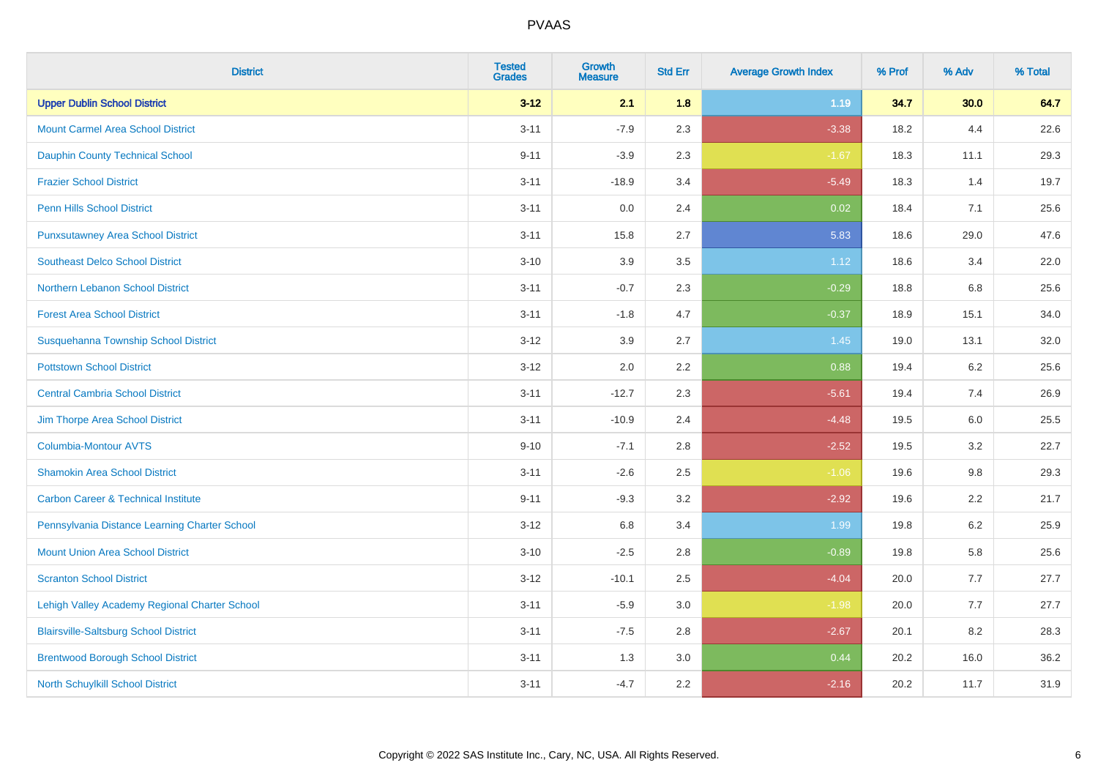| <b>District</b>                                | <b>Tested</b><br><b>Grades</b> | <b>Growth</b><br><b>Measure</b> | <b>Std Err</b> | <b>Average Growth Index</b> | % Prof | % Adv | % Total |
|------------------------------------------------|--------------------------------|---------------------------------|----------------|-----------------------------|--------|-------|---------|
| <b>Upper Dublin School District</b>            | $3 - 12$                       | 2.1                             | 1.8            | 1.19                        | 34.7   | 30.0  | 64.7    |
| <b>Mount Carmel Area School District</b>       | $3 - 11$                       | $-7.9$                          | 2.3            | $-3.38$                     | 18.2   | 4.4   | 22.6    |
| <b>Dauphin County Technical School</b>         | $9 - 11$                       | $-3.9$                          | 2.3            | $-1.67$                     | 18.3   | 11.1  | 29.3    |
| <b>Frazier School District</b>                 | $3 - 11$                       | $-18.9$                         | 3.4            | $-5.49$                     | 18.3   | 1.4   | 19.7    |
| <b>Penn Hills School District</b>              | $3 - 11$                       | 0.0                             | 2.4            | 0.02                        | 18.4   | 7.1   | 25.6    |
| <b>Punxsutawney Area School District</b>       | $3 - 11$                       | 15.8                            | 2.7            | 5.83                        | 18.6   | 29.0  | 47.6    |
| <b>Southeast Delco School District</b>         | $3 - 10$                       | 3.9                             | 3.5            | 1.12                        | 18.6   | 3.4   | 22.0    |
| Northern Lebanon School District               | $3 - 11$                       | $-0.7$                          | 2.3            | $-0.29$                     | 18.8   | 6.8   | 25.6    |
| <b>Forest Area School District</b>             | $3 - 11$                       | $-1.8$                          | 4.7            | $-0.37$                     | 18.9   | 15.1  | 34.0    |
| Susquehanna Township School District           | $3 - 12$                       | 3.9                             | 2.7            | 1.45                        | 19.0   | 13.1  | 32.0    |
| <b>Pottstown School District</b>               | $3 - 12$                       | 2.0                             | 2.2            | 0.88                        | 19.4   | 6.2   | 25.6    |
| <b>Central Cambria School District</b>         | $3 - 11$                       | $-12.7$                         | 2.3            | $-5.61$                     | 19.4   | 7.4   | 26.9    |
| Jim Thorpe Area School District                | $3 - 11$                       | $-10.9$                         | 2.4            | $-4.48$                     | 19.5   | 6.0   | 25.5    |
| <b>Columbia-Montour AVTS</b>                   | $9 - 10$                       | $-7.1$                          | 2.8            | $-2.52$                     | 19.5   | 3.2   | 22.7    |
| <b>Shamokin Area School District</b>           | $3 - 11$                       | $-2.6$                          | 2.5            | $-1.06$                     | 19.6   | 9.8   | 29.3    |
| <b>Carbon Career &amp; Technical Institute</b> | $9 - 11$                       | $-9.3$                          | 3.2            | $-2.92$                     | 19.6   | 2.2   | 21.7    |
| Pennsylvania Distance Learning Charter School  | $3 - 12$                       | 6.8                             | 3.4            | 1.99                        | 19.8   | 6.2   | 25.9    |
| <b>Mount Union Area School District</b>        | $3 - 10$                       | $-2.5$                          | 2.8            | $-0.89$                     | 19.8   | 5.8   | 25.6    |
| <b>Scranton School District</b>                | $3 - 12$                       | $-10.1$                         | 2.5            | $-4.04$                     | 20.0   | 7.7   | 27.7    |
| Lehigh Valley Academy Regional Charter School  | $3 - 11$                       | $-5.9$                          | 3.0            | $-1.98$                     | 20.0   | 7.7   | 27.7    |
| <b>Blairsville-Saltsburg School District</b>   | $3 - 11$                       | $-7.5$                          | 2.8            | $-2.67$                     | 20.1   | 8.2   | 28.3    |
| <b>Brentwood Borough School District</b>       | $3 - 11$                       | 1.3                             | 3.0            | 0.44                        | 20.2   | 16.0  | 36.2    |
| North Schuylkill School District               | $3 - 11$                       | $-4.7$                          | 2.2            | $-2.16$                     | 20.2   | 11.7  | 31.9    |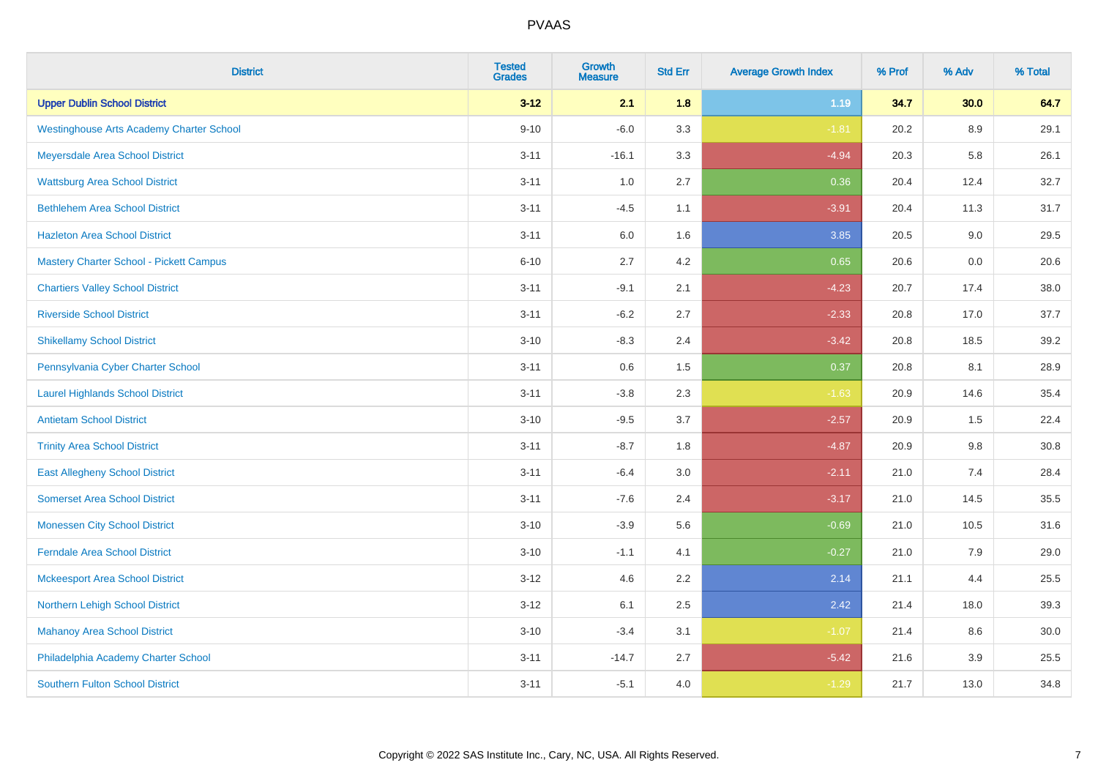| <b>District</b>                                 | <b>Tested</b><br><b>Grades</b> | <b>Growth</b><br><b>Measure</b> | <b>Std Err</b> | <b>Average Growth Index</b> | % Prof | % Adv   | % Total |
|-------------------------------------------------|--------------------------------|---------------------------------|----------------|-----------------------------|--------|---------|---------|
| <b>Upper Dublin School District</b>             | $3 - 12$                       | 2.1                             | 1.8            | 1.19                        | 34.7   | 30.0    | 64.7    |
| <b>Westinghouse Arts Academy Charter School</b> | $9 - 10$                       | $-6.0$                          | 3.3            | $-1.81$                     | 20.2   | 8.9     | 29.1    |
| Meyersdale Area School District                 | $3 - 11$                       | $-16.1$                         | 3.3            | $-4.94$                     | 20.3   | 5.8     | 26.1    |
| <b>Wattsburg Area School District</b>           | $3 - 11$                       | 1.0                             | 2.7            | 0.36                        | 20.4   | 12.4    | 32.7    |
| <b>Bethlehem Area School District</b>           | $3 - 11$                       | $-4.5$                          | 1.1            | $-3.91$                     | 20.4   | 11.3    | 31.7    |
| <b>Hazleton Area School District</b>            | $3 - 11$                       | 6.0                             | 1.6            | 3.85                        | 20.5   | 9.0     | 29.5    |
| <b>Mastery Charter School - Pickett Campus</b>  | $6 - 10$                       | 2.7                             | 4.2            | 0.65                        | 20.6   | 0.0     | 20.6    |
| <b>Chartiers Valley School District</b>         | $3 - 11$                       | $-9.1$                          | 2.1            | $-4.23$                     | 20.7   | 17.4    | 38.0    |
| <b>Riverside School District</b>                | $3 - 11$                       | $-6.2$                          | 2.7            | $-2.33$                     | 20.8   | 17.0    | 37.7    |
| <b>Shikellamy School District</b>               | $3 - 10$                       | $-8.3$                          | 2.4            | $-3.42$                     | 20.8   | 18.5    | 39.2    |
| Pennsylvania Cyber Charter School               | $3 - 11$                       | 0.6                             | 1.5            | 0.37                        | 20.8   | 8.1     | 28.9    |
| <b>Laurel Highlands School District</b>         | $3 - 11$                       | $-3.8$                          | 2.3            | $-1.63$                     | 20.9   | 14.6    | 35.4    |
| <b>Antietam School District</b>                 | $3 - 10$                       | $-9.5$                          | 3.7            | $-2.57$                     | 20.9   | $1.5\,$ | 22.4    |
| <b>Trinity Area School District</b>             | $3 - 11$                       | $-8.7$                          | 1.8            | $-4.87$                     | 20.9   | 9.8     | 30.8    |
| <b>East Allegheny School District</b>           | $3 - 11$                       | $-6.4$                          | 3.0            | $-2.11$                     | 21.0   | 7.4     | 28.4    |
| <b>Somerset Area School District</b>            | $3 - 11$                       | $-7.6$                          | 2.4            | $-3.17$                     | 21.0   | 14.5    | 35.5    |
| <b>Monessen City School District</b>            | $3 - 10$                       | $-3.9$                          | 5.6            | $-0.69$                     | 21.0   | 10.5    | 31.6    |
| <b>Ferndale Area School District</b>            | $3 - 10$                       | $-1.1$                          | 4.1            | $-0.27$                     | 21.0   | 7.9     | 29.0    |
| <b>Mckeesport Area School District</b>          | $3 - 12$                       | 4.6                             | 2.2            | 2.14                        | 21.1   | 4.4     | 25.5    |
| Northern Lehigh School District                 | $3 - 12$                       | 6.1                             | 2.5            | 2.42                        | 21.4   | 18.0    | 39.3    |
| <b>Mahanoy Area School District</b>             | $3 - 10$                       | $-3.4$                          | 3.1            | $-1.07$                     | 21.4   | 8.6     | 30.0    |
| Philadelphia Academy Charter School             | $3 - 11$                       | $-14.7$                         | 2.7            | $-5.42$                     | 21.6   | 3.9     | 25.5    |
| <b>Southern Fulton School District</b>          | $3 - 11$                       | $-5.1$                          | 4.0            | $-1.29$                     | 21.7   | 13.0    | 34.8    |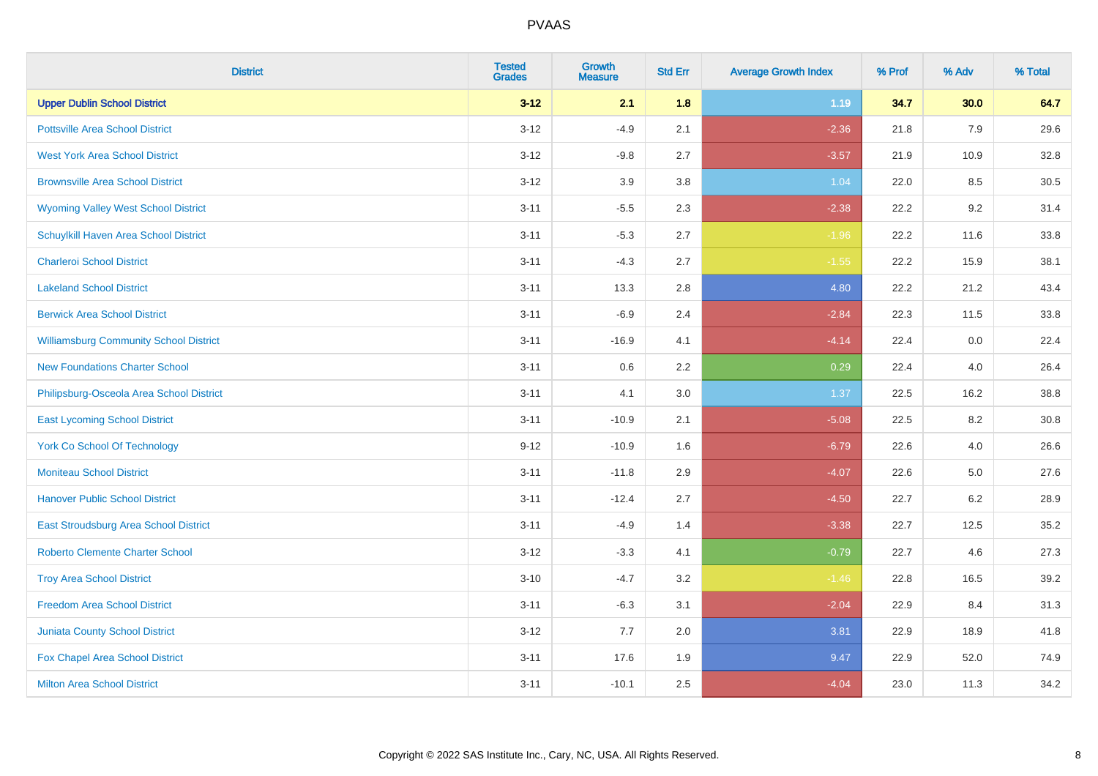| <b>District</b>                               | <b>Tested</b><br><b>Grades</b> | <b>Growth</b><br><b>Measure</b> | <b>Std Err</b> | <b>Average Growth Index</b> | % Prof | % Adv   | % Total |
|-----------------------------------------------|--------------------------------|---------------------------------|----------------|-----------------------------|--------|---------|---------|
| <b>Upper Dublin School District</b>           | $3 - 12$                       | 2.1                             | 1.8            | 1.19                        | 34.7   | 30.0    | 64.7    |
| <b>Pottsville Area School District</b>        | $3 - 12$                       | $-4.9$                          | 2.1            | $-2.36$                     | 21.8   | 7.9     | 29.6    |
| <b>West York Area School District</b>         | $3 - 12$                       | $-9.8$                          | 2.7            | $-3.57$                     | 21.9   | 10.9    | 32.8    |
| <b>Brownsville Area School District</b>       | $3 - 12$                       | 3.9                             | 3.8            | 1.04                        | 22.0   | 8.5     | 30.5    |
| <b>Wyoming Valley West School District</b>    | $3 - 11$                       | $-5.5$                          | 2.3            | $-2.38$                     | 22.2   | 9.2     | 31.4    |
| Schuylkill Haven Area School District         | $3 - 11$                       | $-5.3$                          | 2.7            | $-1.96$                     | 22.2   | 11.6    | 33.8    |
| <b>Charleroi School District</b>              | $3 - 11$                       | $-4.3$                          | 2.7            | $-1.55$                     | 22.2   | 15.9    | 38.1    |
| <b>Lakeland School District</b>               | $3 - 11$                       | 13.3                            | 2.8            | 4.80                        | 22.2   | 21.2    | 43.4    |
| <b>Berwick Area School District</b>           | $3 - 11$                       | $-6.9$                          | 2.4            | $-2.84$                     | 22.3   | 11.5    | 33.8    |
| <b>Williamsburg Community School District</b> | $3 - 11$                       | $-16.9$                         | 4.1            | $-4.14$                     | 22.4   | 0.0     | 22.4    |
| <b>New Foundations Charter School</b>         | $3 - 11$                       | 0.6                             | 2.2            | 0.29                        | 22.4   | 4.0     | 26.4    |
| Philipsburg-Osceola Area School District      | $3 - 11$                       | 4.1                             | 3.0            | 1.37                        | 22.5   | 16.2    | 38.8    |
| <b>East Lycoming School District</b>          | $3 - 11$                       | $-10.9$                         | 2.1            | $-5.08$                     | 22.5   | $8.2\,$ | 30.8    |
| <b>York Co School Of Technology</b>           | $9 - 12$                       | $-10.9$                         | 1.6            | $-6.79$                     | 22.6   | 4.0     | 26.6    |
| <b>Moniteau School District</b>               | $3 - 11$                       | $-11.8$                         | 2.9            | $-4.07$                     | 22.6   | $5.0\,$ | 27.6    |
| <b>Hanover Public School District</b>         | $3 - 11$                       | $-12.4$                         | 2.7            | $-4.50$                     | 22.7   | $6.2\,$ | 28.9    |
| East Stroudsburg Area School District         | $3 - 11$                       | $-4.9$                          | 1.4            | $-3.38$                     | 22.7   | 12.5    | 35.2    |
| Roberto Clemente Charter School               | $3 - 12$                       | $-3.3$                          | 4.1            | $-0.79$                     | 22.7   | 4.6     | 27.3    |
| <b>Troy Area School District</b>              | $3 - 10$                       | $-4.7$                          | 3.2            | $-1.46$                     | 22.8   | 16.5    | 39.2    |
| <b>Freedom Area School District</b>           | $3 - 11$                       | $-6.3$                          | 3.1            | $-2.04$                     | 22.9   | 8.4     | 31.3    |
| <b>Juniata County School District</b>         | $3 - 12$                       | 7.7                             | 2.0            | 3.81                        | 22.9   | 18.9    | 41.8    |
| Fox Chapel Area School District               | $3 - 11$                       | 17.6                            | 1.9            | 9.47                        | 22.9   | 52.0    | 74.9    |
| <b>Milton Area School District</b>            | $3 - 11$                       | $-10.1$                         | 2.5            | $-4.04$                     | 23.0   | 11.3    | 34.2    |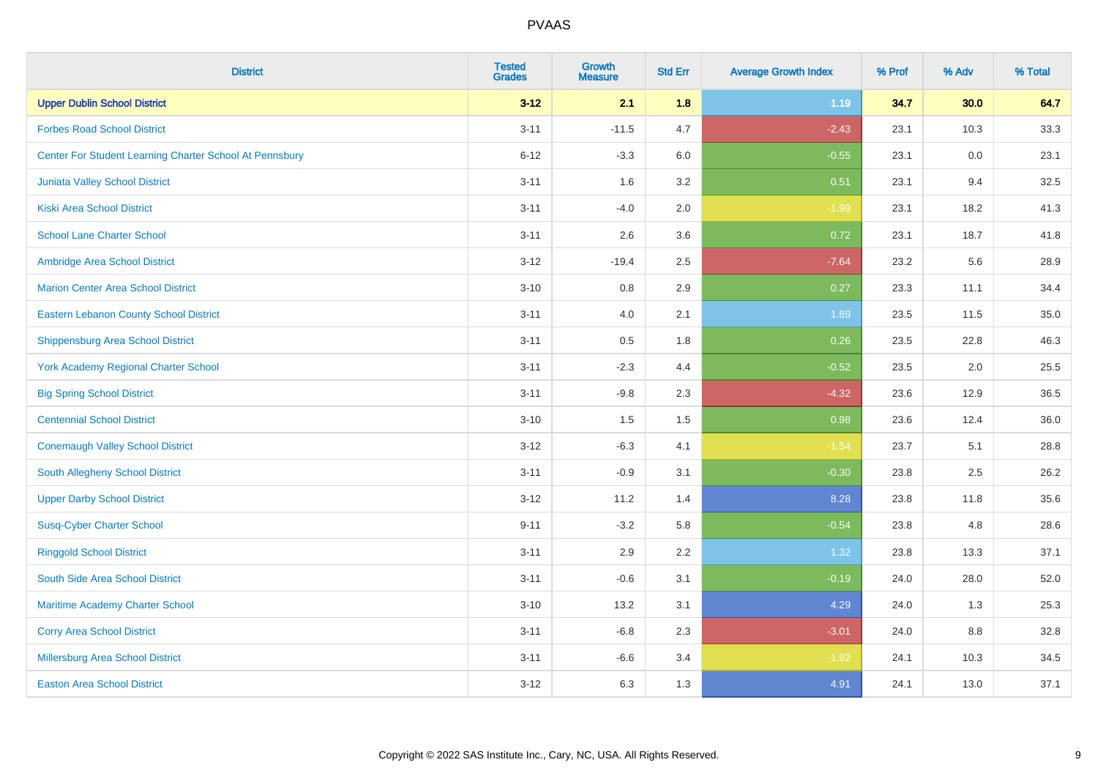| <b>District</b>                                         | <b>Tested</b><br><b>Grades</b> | <b>Growth</b><br><b>Measure</b> | <b>Std Err</b> | <b>Average Growth Index</b> | % Prof | % Adv | % Total |
|---------------------------------------------------------|--------------------------------|---------------------------------|----------------|-----------------------------|--------|-------|---------|
| <b>Upper Dublin School District</b>                     | $3 - 12$                       | 2.1                             | 1.8            | 1.19                        | 34.7   | 30.0  | 64.7    |
| <b>Forbes Road School District</b>                      | $3 - 11$                       | $-11.5$                         | 4.7            | $-2.43$                     | 23.1   | 10.3  | 33.3    |
| Center For Student Learning Charter School At Pennsbury | $6 - 12$                       | $-3.3$                          | 6.0            | $-0.55$                     | 23.1   | 0.0   | 23.1    |
| Juniata Valley School District                          | $3 - 11$                       | 1.6                             | 3.2            | 0.51                        | 23.1   | 9.4   | 32.5    |
| <b>Kiski Area School District</b>                       | $3 - 11$                       | $-4.0$                          | 2.0            | $-1.99$                     | 23.1   | 18.2  | 41.3    |
| <b>School Lane Charter School</b>                       | $3 - 11$                       | 2.6                             | 3.6            | 0.72                        | 23.1   | 18.7  | 41.8    |
| Ambridge Area School District                           | $3 - 12$                       | $-19.4$                         | 2.5            | $-7.64$                     | 23.2   | 5.6   | 28.9    |
| <b>Marion Center Area School District</b>               | $3 - 10$                       | 0.8                             | 2.9            | 0.27                        | 23.3   | 11.1  | 34.4    |
| <b>Eastern Lebanon County School District</b>           | $3 - 11$                       | 4.0                             | 2.1            | 1.89                        | 23.5   | 11.5  | 35.0    |
| <b>Shippensburg Area School District</b>                | $3 - 11$                       | 0.5                             | 1.8            | 0.26                        | 23.5   | 22.8  | 46.3    |
| <b>York Academy Regional Charter School</b>             | $3 - 11$                       | $-2.3$                          | 4.4            | $-0.52$                     | 23.5   | 2.0   | 25.5    |
| <b>Big Spring School District</b>                       | $3 - 11$                       | $-9.8$                          | 2.3            | $-4.32$                     | 23.6   | 12.9  | 36.5    |
| <b>Centennial School District</b>                       | $3 - 10$                       | 1.5                             | 1.5            | 0.98                        | 23.6   | 12.4  | 36.0    |
| <b>Conemaugh Valley School District</b>                 | $3 - 12$                       | $-6.3$                          | 4.1            | $-1.54$                     | 23.7   | 5.1   | 28.8    |
| South Allegheny School District                         | $3 - 11$                       | $-0.9$                          | 3.1            | $-0.30$                     | 23.8   | 2.5   | 26.2    |
| <b>Upper Darby School District</b>                      | $3 - 12$                       | 11.2                            | 1.4            | 8.28                        | 23.8   | 11.8  | 35.6    |
| <b>Susq-Cyber Charter School</b>                        | $9 - 11$                       | $-3.2$                          | 5.8            | $-0.54$                     | 23.8   | 4.8   | 28.6    |
| <b>Ringgold School District</b>                         | $3 - 11$                       | 2.9                             | 2.2            | 1.32                        | 23.8   | 13.3  | 37.1    |
| South Side Area School District                         | $3 - 11$                       | $-0.6$                          | 3.1            | $-0.19$                     | 24.0   | 28.0  | 52.0    |
| Maritime Academy Charter School                         | $3 - 10$                       | 13.2                            | 3.1            | 4.29                        | 24.0   | 1.3   | 25.3    |
| <b>Corry Area School District</b>                       | $3 - 11$                       | $-6.8$                          | 2.3            | $-3.01$                     | 24.0   | 8.8   | 32.8    |
| Millersburg Area School District                        | $3 - 11$                       | $-6.6$                          | 3.4            | $-1.92$                     | 24.1   | 10.3  | 34.5    |
| <b>Easton Area School District</b>                      | $3 - 12$                       | 6.3                             | 1.3            | 4.91                        | 24.1   | 13.0  | 37.1    |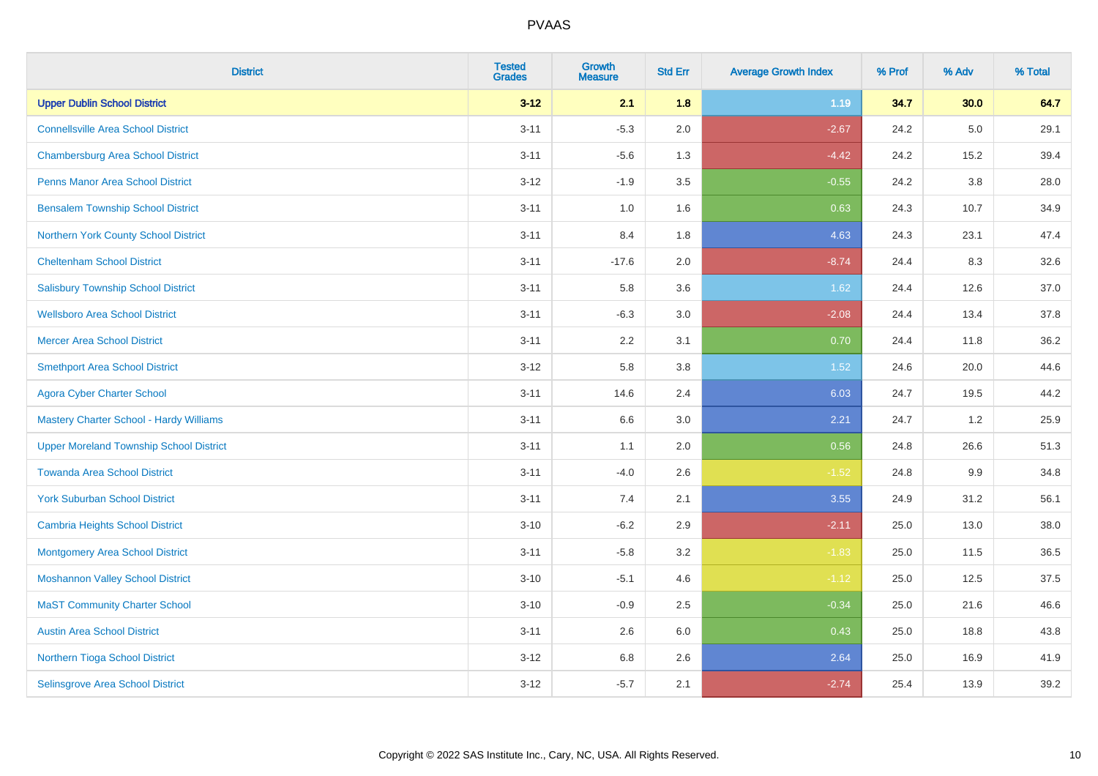| <b>District</b>                                | <b>Tested</b><br><b>Grades</b> | Growth<br><b>Measure</b> | <b>Std Err</b> | <b>Average Growth Index</b> | % Prof | % Adv   | % Total |
|------------------------------------------------|--------------------------------|--------------------------|----------------|-----------------------------|--------|---------|---------|
| <b>Upper Dublin School District</b>            | $3 - 12$                       | 2.1                      | 1.8            | 1.19                        | 34.7   | 30.0    | 64.7    |
| <b>Connellsville Area School District</b>      | $3 - 11$                       | $-5.3$                   | 2.0            | $-2.67$                     | 24.2   | $5.0\,$ | 29.1    |
| <b>Chambersburg Area School District</b>       | $3 - 11$                       | $-5.6$                   | 1.3            | $-4.42$                     | 24.2   | 15.2    | 39.4    |
| <b>Penns Manor Area School District</b>        | $3 - 12$                       | $-1.9$                   | 3.5            | $-0.55$                     | 24.2   | $3.8\,$ | 28.0    |
| <b>Bensalem Township School District</b>       | $3 - 11$                       | 1.0                      | 1.6            | 0.63                        | 24.3   | 10.7    | 34.9    |
| Northern York County School District           | $3 - 11$                       | 8.4                      | 1.8            | 4.63                        | 24.3   | 23.1    | 47.4    |
| <b>Cheltenham School District</b>              | $3 - 11$                       | $-17.6$                  | 2.0            | $-8.74$                     | 24.4   | 8.3     | 32.6    |
| <b>Salisbury Township School District</b>      | $3 - 11$                       | 5.8                      | 3.6            | 1.62                        | 24.4   | 12.6    | 37.0    |
| <b>Wellsboro Area School District</b>          | $3 - 11$                       | $-6.3$                   | 3.0            | $-2.08$                     | 24.4   | 13.4    | 37.8    |
| <b>Mercer Area School District</b>             | $3 - 11$                       | 2.2                      | 3.1            | 0.70                        | 24.4   | 11.8    | 36.2    |
| <b>Smethport Area School District</b>          | $3 - 12$                       | 5.8                      | 3.8            | 1.52                        | 24.6   | 20.0    | 44.6    |
| <b>Agora Cyber Charter School</b>              | $3 - 11$                       | 14.6                     | 2.4            | 6.03                        | 24.7   | 19.5    | 44.2    |
| Mastery Charter School - Hardy Williams        | $3 - 11$                       | 6.6                      | 3.0            | 2.21                        | 24.7   | 1.2     | 25.9    |
| <b>Upper Moreland Township School District</b> | $3 - 11$                       | 1.1                      | 2.0            | 0.56                        | 24.8   | 26.6    | 51.3    |
| <b>Towanda Area School District</b>            | $3 - 11$                       | $-4.0$                   | 2.6            | $-1.52$                     | 24.8   | 9.9     | 34.8    |
| <b>York Suburban School District</b>           | $3 - 11$                       | 7.4                      | 2.1            | 3.55                        | 24.9   | 31.2    | 56.1    |
| <b>Cambria Heights School District</b>         | $3 - 10$                       | $-6.2$                   | 2.9            | $-2.11$                     | 25.0   | 13.0    | 38.0    |
| <b>Montgomery Area School District</b>         | $3 - 11$                       | $-5.8$                   | 3.2            | $-1.83$                     | 25.0   | 11.5    | 36.5    |
| <b>Moshannon Valley School District</b>        | $3 - 10$                       | $-5.1$                   | 4.6            | $-1.12$                     | 25.0   | 12.5    | 37.5    |
| <b>MaST Community Charter School</b>           | $3 - 10$                       | $-0.9$                   | 2.5            | $-0.34$                     | 25.0   | 21.6    | 46.6    |
| <b>Austin Area School District</b>             | $3 - 11$                       | 2.6                      | 6.0            | 0.43                        | 25.0   | 18.8    | 43.8    |
| Northern Tioga School District                 | $3 - 12$                       | $6.8\,$                  | 2.6            | 2.64                        | 25.0   | 16.9    | 41.9    |
| Selinsgrove Area School District               | $3 - 12$                       | $-5.7$                   | 2.1            | $-2.74$                     | 25.4   | 13.9    | 39.2    |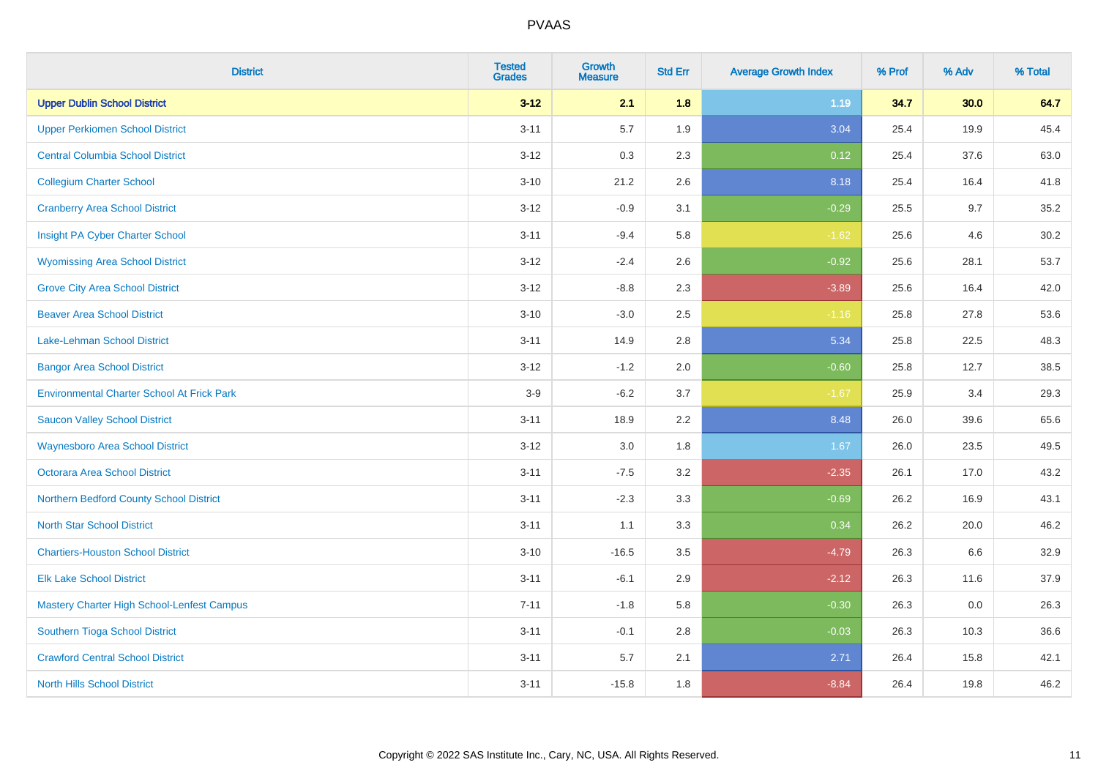| <b>District</b>                                   | <b>Tested</b><br><b>Grades</b> | <b>Growth</b><br><b>Measure</b> | <b>Std Err</b> | <b>Average Growth Index</b> | % Prof | % Adv | % Total |
|---------------------------------------------------|--------------------------------|---------------------------------|----------------|-----------------------------|--------|-------|---------|
| <b>Upper Dublin School District</b>               | $3 - 12$                       | 2.1                             | 1.8            | 1.19                        | 34.7   | 30.0  | 64.7    |
| <b>Upper Perkiomen School District</b>            | $3 - 11$                       | 5.7                             | 1.9            | 3.04                        | 25.4   | 19.9  | 45.4    |
| <b>Central Columbia School District</b>           | $3 - 12$                       | 0.3                             | 2.3            | 0.12                        | 25.4   | 37.6  | 63.0    |
| <b>Collegium Charter School</b>                   | $3 - 10$                       | 21.2                            | 2.6            | 8.18                        | 25.4   | 16.4  | 41.8    |
| <b>Cranberry Area School District</b>             | $3-12$                         | $-0.9$                          | 3.1            | $-0.29$                     | 25.5   | 9.7   | 35.2    |
| Insight PA Cyber Charter School                   | $3 - 11$                       | $-9.4$                          | 5.8            | $-1.62$                     | 25.6   | 4.6   | 30.2    |
| <b>Wyomissing Area School District</b>            | $3 - 12$                       | $-2.4$                          | 2.6            | $-0.92$                     | 25.6   | 28.1  | 53.7    |
| <b>Grove City Area School District</b>            | $3-12$                         | $-8.8$                          | 2.3            | $-3.89$                     | 25.6   | 16.4  | 42.0    |
| <b>Beaver Area School District</b>                | $3 - 10$                       | $-3.0$                          | 2.5            | $-1.16$                     | 25.8   | 27.8  | 53.6    |
| Lake-Lehman School District                       | $3 - 11$                       | 14.9                            | 2.8            | 5.34                        | 25.8   | 22.5  | 48.3    |
| <b>Bangor Area School District</b>                | $3 - 12$                       | $-1.2$                          | 2.0            | $-0.60$                     | 25.8   | 12.7  | 38.5    |
| <b>Environmental Charter School At Frick Park</b> | $3-9$                          | $-6.2$                          | 3.7            | $-1.67$                     | 25.9   | 3.4   | 29.3    |
| <b>Saucon Valley School District</b>              | $3 - 11$                       | 18.9                            | 2.2            | 8.48                        | 26.0   | 39.6  | 65.6    |
| <b>Waynesboro Area School District</b>            | $3 - 12$                       | 3.0                             | 1.8            | 1.67                        | 26.0   | 23.5  | 49.5    |
| <b>Octorara Area School District</b>              | $3 - 11$                       | $-7.5$                          | 3.2            | $-2.35$                     | 26.1   | 17.0  | 43.2    |
| Northern Bedford County School District           | $3 - 11$                       | $-2.3$                          | 3.3            | $-0.69$                     | 26.2   | 16.9  | 43.1    |
| <b>North Star School District</b>                 | $3 - 11$                       | 1.1                             | 3.3            | 0.34                        | 26.2   | 20.0  | 46.2    |
| <b>Chartiers-Houston School District</b>          | $3 - 10$                       | $-16.5$                         | 3.5            | $-4.79$                     | 26.3   | 6.6   | 32.9    |
| <b>Elk Lake School District</b>                   | $3 - 11$                       | $-6.1$                          | 2.9            | $-2.12$                     | 26.3   | 11.6  | 37.9    |
| Mastery Charter High School-Lenfest Campus        | $7 - 11$                       | $-1.8$                          | 5.8            | $-0.30$                     | 26.3   | 0.0   | 26.3    |
| Southern Tioga School District                    | $3 - 11$                       | $-0.1$                          | 2.8            | $-0.03$                     | 26.3   | 10.3  | 36.6    |
| <b>Crawford Central School District</b>           | $3 - 11$                       | 5.7                             | 2.1            | 2.71                        | 26.4   | 15.8  | 42.1    |
| <b>North Hills School District</b>                | $3 - 11$                       | $-15.8$                         | 1.8            | $-8.84$                     | 26.4   | 19.8  | 46.2    |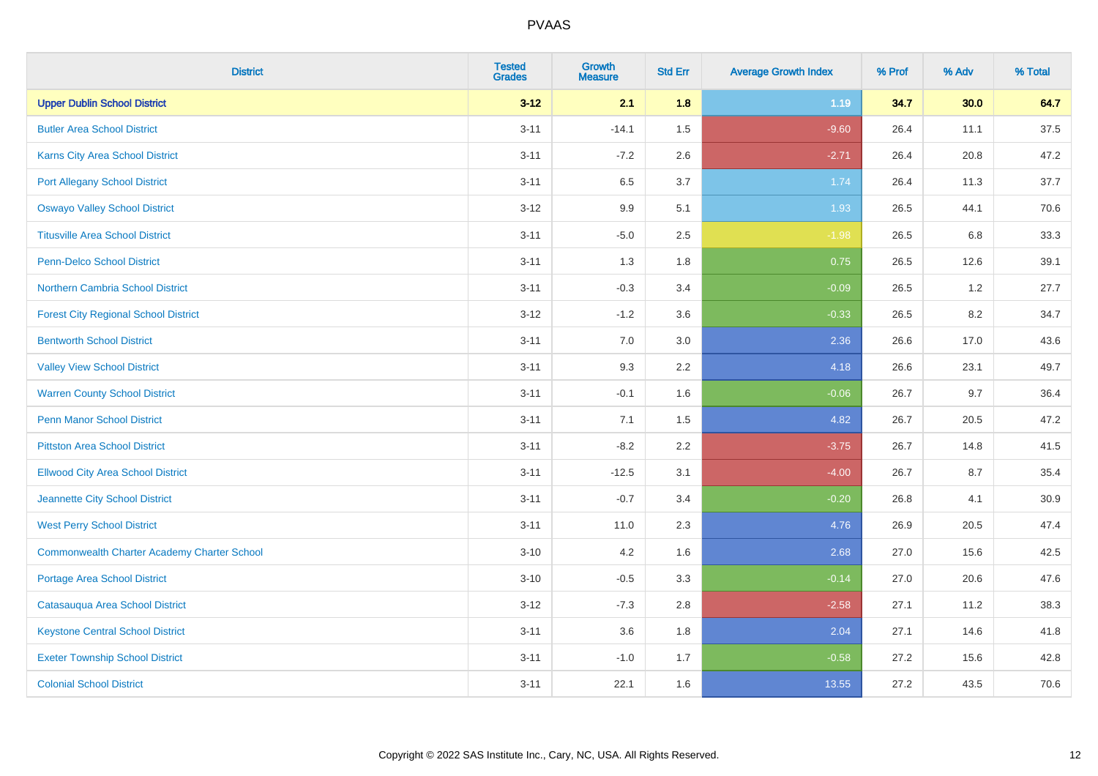| <b>District</b>                                    | <b>Tested</b><br><b>Grades</b> | <b>Growth</b><br><b>Measure</b> | <b>Std Err</b> | <b>Average Growth Index</b> | % Prof | % Adv   | % Total |
|----------------------------------------------------|--------------------------------|---------------------------------|----------------|-----------------------------|--------|---------|---------|
| <b>Upper Dublin School District</b>                | $3 - 12$                       | 2.1                             | 1.8            | 1.19                        | 34.7   | 30.0    | 64.7    |
| <b>Butler Area School District</b>                 | $3 - 11$                       | $-14.1$                         | 1.5            | $-9.60$                     | 26.4   | 11.1    | 37.5    |
| Karns City Area School District                    | $3 - 11$                       | $-7.2$                          | 2.6            | $-2.71$                     | 26.4   | 20.8    | 47.2    |
| <b>Port Allegany School District</b>               | $3 - 11$                       | 6.5                             | 3.7            | 1.74                        | 26.4   | 11.3    | 37.7    |
| <b>Oswayo Valley School District</b>               | $3 - 12$                       | 9.9                             | 5.1            | 1.93                        | 26.5   | 44.1    | 70.6    |
| <b>Titusville Area School District</b>             | $3 - 11$                       | $-5.0$                          | 2.5            | $-1.98$                     | 26.5   | $6.8\,$ | 33.3    |
| Penn-Delco School District                         | $3 - 11$                       | 1.3                             | 1.8            | 0.75                        | 26.5   | 12.6    | 39.1    |
| <b>Northern Cambria School District</b>            | $3 - 11$                       | $-0.3$                          | 3.4            | $-0.09$                     | 26.5   | $1.2$   | 27.7    |
| <b>Forest City Regional School District</b>        | $3 - 12$                       | $-1.2$                          | 3.6            | $-0.33$                     | 26.5   | 8.2     | 34.7    |
| <b>Bentworth School District</b>                   | $3 - 11$                       | 7.0                             | 3.0            | 2.36                        | 26.6   | 17.0    | 43.6    |
| <b>Valley View School District</b>                 | $3 - 11$                       | 9.3                             | 2.2            | 4.18                        | 26.6   | 23.1    | 49.7    |
| <b>Warren County School District</b>               | $3 - 11$                       | $-0.1$                          | 1.6            | $-0.06$                     | 26.7   | 9.7     | 36.4    |
| Penn Manor School District                         | $3 - 11$                       | 7.1                             | 1.5            | 4.82                        | 26.7   | 20.5    | 47.2    |
| <b>Pittston Area School District</b>               | $3 - 11$                       | $-8.2$                          | 2.2            | $-3.75$                     | 26.7   | 14.8    | 41.5    |
| <b>Ellwood City Area School District</b>           | $3 - 11$                       | $-12.5$                         | 3.1            | $-4.00$                     | 26.7   | 8.7     | 35.4    |
| Jeannette City School District                     | $3 - 11$                       | $-0.7$                          | 3.4            | $-0.20$                     | 26.8   | 4.1     | 30.9    |
| <b>West Perry School District</b>                  | $3 - 11$                       | 11.0                            | 2.3            | 4.76                        | 26.9   | 20.5    | 47.4    |
| <b>Commonwealth Charter Academy Charter School</b> | $3 - 10$                       | 4.2                             | 1.6            | 2.68                        | 27.0   | 15.6    | 42.5    |
| <b>Portage Area School District</b>                | $3 - 10$                       | $-0.5$                          | 3.3            | $-0.14$                     | 27.0   | 20.6    | 47.6    |
| Catasauqua Area School District                    | $3 - 12$                       | $-7.3$                          | 2.8            | $-2.58$                     | 27.1   | 11.2    | 38.3    |
| <b>Keystone Central School District</b>            | $3 - 11$                       | 3.6                             | 1.8            | 2.04                        | 27.1   | 14.6    | 41.8    |
| <b>Exeter Township School District</b>             | $3 - 11$                       | $-1.0$                          | 1.7            | $-0.58$                     | 27.2   | 15.6    | 42.8    |
| <b>Colonial School District</b>                    | $3 - 11$                       | 22.1                            | 1.6            | 13.55                       | 27.2   | 43.5    | 70.6    |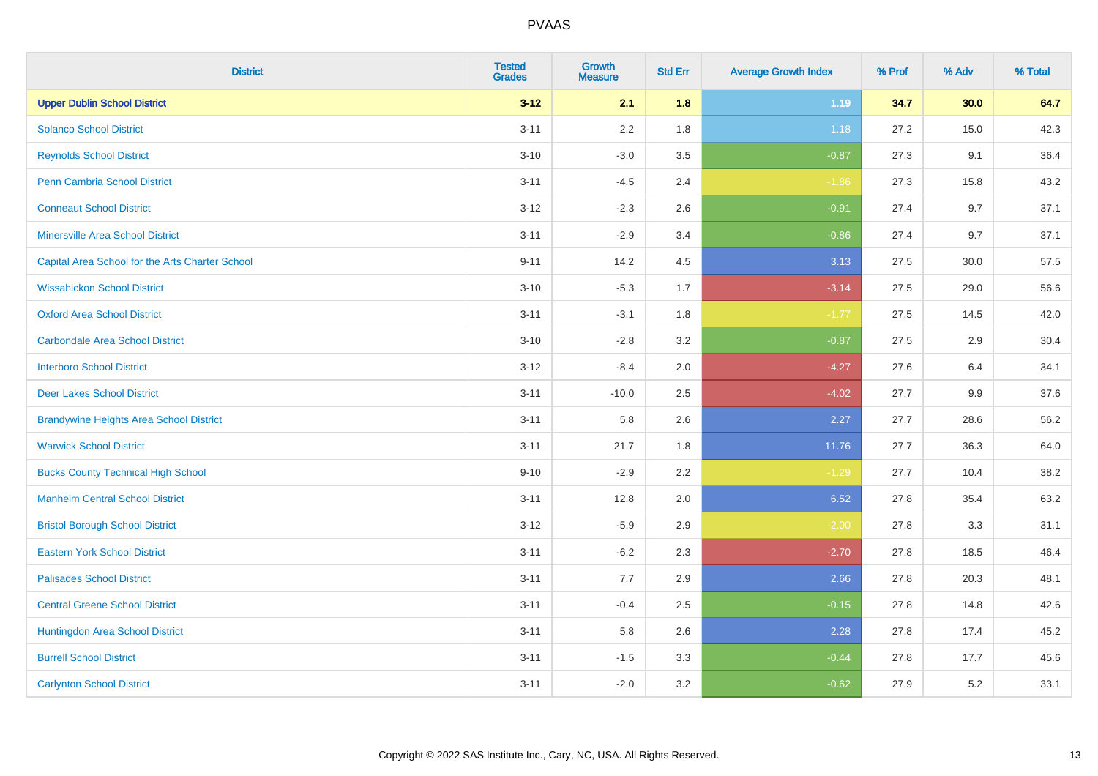| <b>District</b>                                 | <b>Tested</b><br><b>Grades</b> | <b>Growth</b><br><b>Measure</b> | <b>Std Err</b> | <b>Average Growth Index</b> | % Prof | % Adv | % Total |
|-------------------------------------------------|--------------------------------|---------------------------------|----------------|-----------------------------|--------|-------|---------|
| <b>Upper Dublin School District</b>             | $3 - 12$                       | 2.1                             | 1.8            | 1.19                        | 34.7   | 30.0  | 64.7    |
| <b>Solanco School District</b>                  | $3 - 11$                       | 2.2                             | 1.8            | 1.18                        | 27.2   | 15.0  | 42.3    |
| <b>Reynolds School District</b>                 | $3 - 10$                       | $-3.0$                          | 3.5            | $-0.87$                     | 27.3   | 9.1   | 36.4    |
| Penn Cambria School District                    | $3 - 11$                       | $-4.5$                          | 2.4            | $-1.86$                     | 27.3   | 15.8  | 43.2    |
| <b>Conneaut School District</b>                 | $3-12$                         | $-2.3$                          | 2.6            | $-0.91$                     | 27.4   | 9.7   | 37.1    |
| <b>Minersville Area School District</b>         | $3 - 11$                       | $-2.9$                          | 3.4            | $-0.86$                     | 27.4   | 9.7   | 37.1    |
| Capital Area School for the Arts Charter School | $9 - 11$                       | 14.2                            | 4.5            | 3.13                        | 27.5   | 30.0  | 57.5    |
| <b>Wissahickon School District</b>              | $3 - 10$                       | $-5.3$                          | 1.7            | $-3.14$                     | 27.5   | 29.0  | 56.6    |
| <b>Oxford Area School District</b>              | $3 - 11$                       | $-3.1$                          | 1.8            | $-1.77$                     | 27.5   | 14.5  | 42.0    |
| <b>Carbondale Area School District</b>          | $3 - 10$                       | $-2.8$                          | 3.2            | $-0.87$                     | 27.5   | 2.9   | 30.4    |
| <b>Interboro School District</b>                | $3-12$                         | $-8.4$                          | 2.0            | $-4.27$                     | 27.6   | 6.4   | 34.1    |
| <b>Deer Lakes School District</b>               | $3 - 11$                       | $-10.0$                         | 2.5            | $-4.02$                     | 27.7   | 9.9   | 37.6    |
| <b>Brandywine Heights Area School District</b>  | $3 - 11$                       | 5.8                             | 2.6            | 2.27                        | 27.7   | 28.6  | 56.2    |
| <b>Warwick School District</b>                  | $3 - 11$                       | 21.7                            | 1.8            | 11.76                       | 27.7   | 36.3  | 64.0    |
| <b>Bucks County Technical High School</b>       | $9 - 10$                       | $-2.9$                          | 2.2            | $-1.29$                     | 27.7   | 10.4  | 38.2    |
| <b>Manheim Central School District</b>          | $3 - 11$                       | 12.8                            | 2.0            | 6.52                        | 27.8   | 35.4  | 63.2    |
| <b>Bristol Borough School District</b>          | $3 - 12$                       | $-5.9$                          | 2.9            | $-2.00$                     | 27.8   | 3.3   | 31.1    |
| <b>Eastern York School District</b>             | $3 - 11$                       | $-6.2$                          | 2.3            | $-2.70$                     | 27.8   | 18.5  | 46.4    |
| <b>Palisades School District</b>                | $3 - 11$                       | 7.7                             | 2.9            | 2.66                        | 27.8   | 20.3  | 48.1    |
| <b>Central Greene School District</b>           | $3 - 11$                       | $-0.4$                          | 2.5            | $-0.15$                     | 27.8   | 14.8  | 42.6    |
| Huntingdon Area School District                 | $3 - 11$                       | 5.8                             | 2.6            | 2.28                        | 27.8   | 17.4  | 45.2    |
| <b>Burrell School District</b>                  | $3 - 11$                       | $-1.5$                          | 3.3            | $-0.44$                     | 27.8   | 17.7  | 45.6    |
| <b>Carlynton School District</b>                | $3 - 11$                       | $-2.0$                          | 3.2            | $-0.62$                     | 27.9   | 5.2   | 33.1    |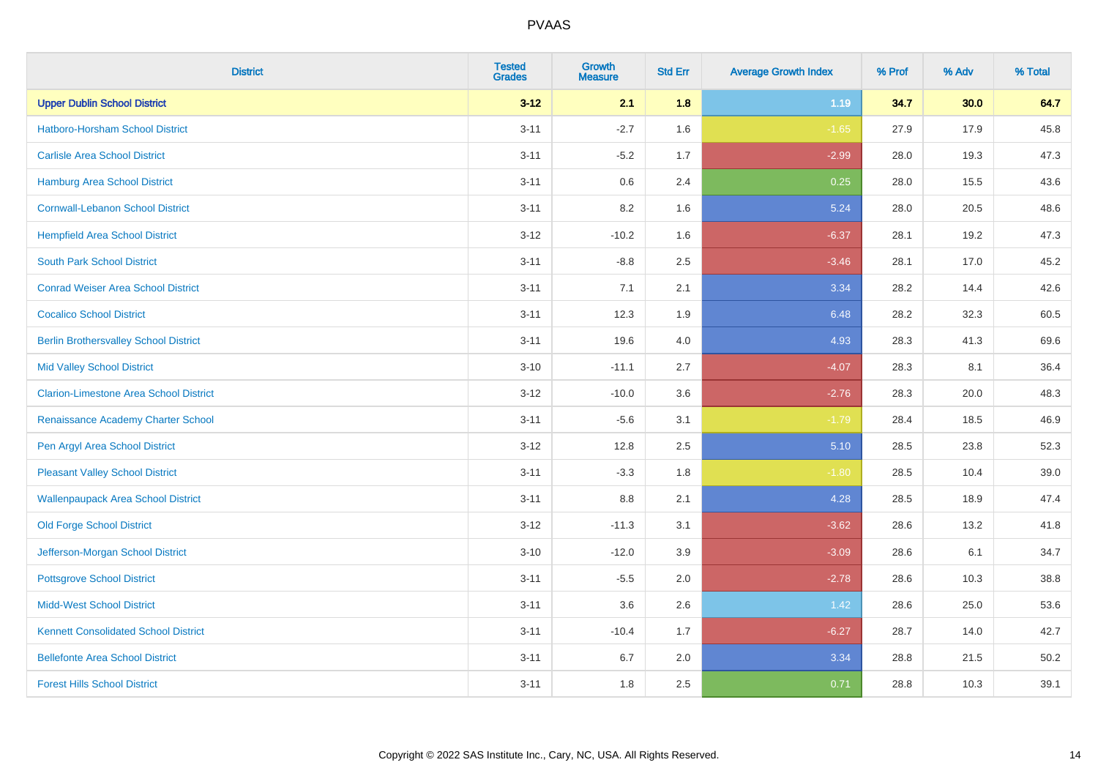| <b>District</b>                               | <b>Tested</b><br><b>Grades</b> | <b>Growth</b><br><b>Measure</b> | <b>Std Err</b> | <b>Average Growth Index</b> | % Prof | % Adv | % Total |
|-----------------------------------------------|--------------------------------|---------------------------------|----------------|-----------------------------|--------|-------|---------|
| <b>Upper Dublin School District</b>           | $3 - 12$                       | 2.1                             | 1.8            | 1.19                        | 34.7   | 30.0  | 64.7    |
| <b>Hatboro-Horsham School District</b>        | $3 - 11$                       | $-2.7$                          | 1.6            | $-1.65$                     | 27.9   | 17.9  | 45.8    |
| <b>Carlisle Area School District</b>          | $3 - 11$                       | $-5.2$                          | 1.7            | $-2.99$                     | 28.0   | 19.3  | 47.3    |
| <b>Hamburg Area School District</b>           | $3 - 11$                       | 0.6                             | 2.4            | 0.25                        | 28.0   | 15.5  | 43.6    |
| <b>Cornwall-Lebanon School District</b>       | $3 - 11$                       | 8.2                             | 1.6            | 5.24                        | 28.0   | 20.5  | 48.6    |
| <b>Hempfield Area School District</b>         | $3 - 12$                       | $-10.2$                         | 1.6            | $-6.37$                     | 28.1   | 19.2  | 47.3    |
| <b>South Park School District</b>             | $3 - 11$                       | $-8.8$                          | 2.5            | $-3.46$                     | 28.1   | 17.0  | 45.2    |
| <b>Conrad Weiser Area School District</b>     | $3 - 11$                       | 7.1                             | 2.1            | 3.34                        | 28.2   | 14.4  | 42.6    |
| <b>Cocalico School District</b>               | $3 - 11$                       | 12.3                            | 1.9            | 6.48                        | 28.2   | 32.3  | 60.5    |
| <b>Berlin Brothersvalley School District</b>  | $3 - 11$                       | 19.6                            | 4.0            | 4.93                        | 28.3   | 41.3  | 69.6    |
| <b>Mid Valley School District</b>             | $3 - 10$                       | $-11.1$                         | 2.7            | $-4.07$                     | 28.3   | 8.1   | 36.4    |
| <b>Clarion-Limestone Area School District</b> | $3 - 12$                       | $-10.0$                         | 3.6            | $-2.76$                     | 28.3   | 20.0  | 48.3    |
| Renaissance Academy Charter School            | $3 - 11$                       | $-5.6$                          | 3.1            | $-1.79$                     | 28.4   | 18.5  | 46.9    |
| Pen Argyl Area School District                | $3 - 12$                       | 12.8                            | 2.5            | 5.10                        | 28.5   | 23.8  | 52.3    |
| <b>Pleasant Valley School District</b>        | $3 - 11$                       | $-3.3$                          | 1.8            | $-1.80$                     | 28.5   | 10.4  | 39.0    |
| <b>Wallenpaupack Area School District</b>     | $3 - 11$                       | 8.8                             | 2.1            | 4.28                        | 28.5   | 18.9  | 47.4    |
| <b>Old Forge School District</b>              | $3 - 12$                       | $-11.3$                         | 3.1            | $-3.62$                     | 28.6   | 13.2  | 41.8    |
| Jefferson-Morgan School District              | $3 - 10$                       | $-12.0$                         | 3.9            | $-3.09$                     | 28.6   | 6.1   | 34.7    |
| <b>Pottsgrove School District</b>             | $3 - 11$                       | $-5.5$                          | 2.0            | $-2.78$                     | 28.6   | 10.3  | 38.8    |
| <b>Midd-West School District</b>              | $3 - 11$                       | 3.6                             | 2.6            | 1.42                        | 28.6   | 25.0  | 53.6    |
| <b>Kennett Consolidated School District</b>   | $3 - 11$                       | $-10.4$                         | 1.7            | $-6.27$                     | 28.7   | 14.0  | 42.7    |
| <b>Bellefonte Area School District</b>        | $3 - 11$                       | 6.7                             | 2.0            | 3.34                        | 28.8   | 21.5  | 50.2    |
| <b>Forest Hills School District</b>           | $3 - 11$                       | 1.8                             | 2.5            | 0.71                        | 28.8   | 10.3  | 39.1    |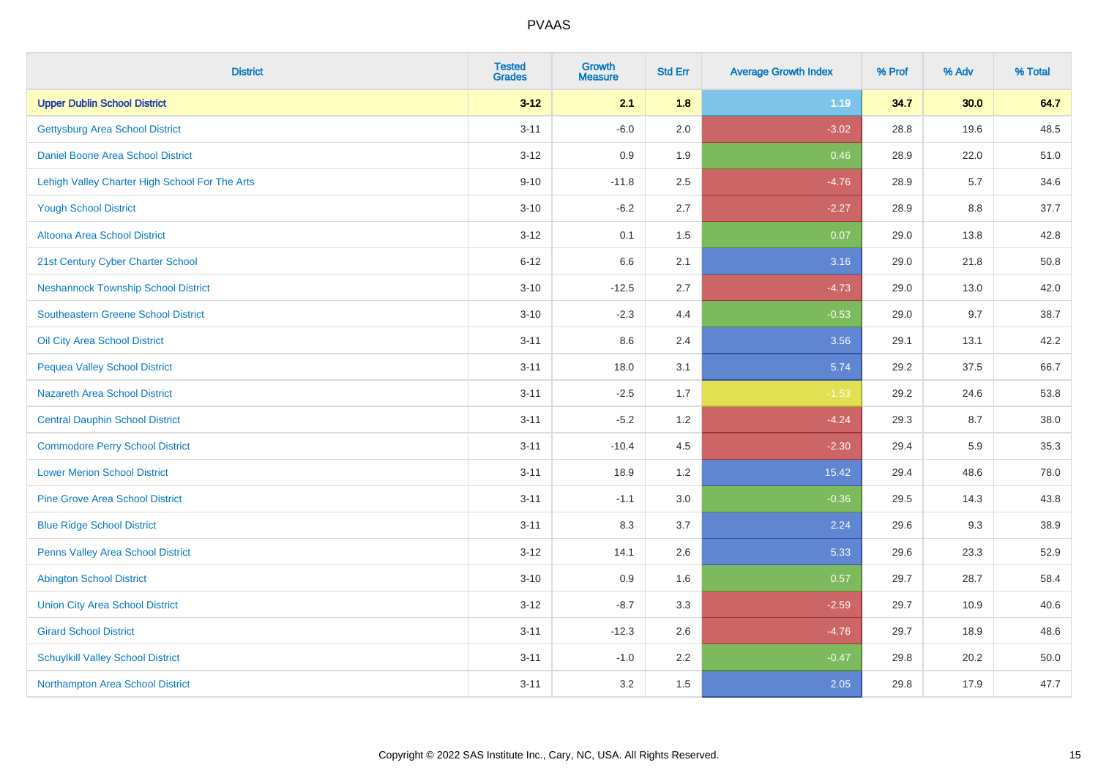| <b>District</b>                                | <b>Tested</b><br><b>Grades</b> | <b>Growth</b><br><b>Measure</b> | <b>Std Err</b> | <b>Average Growth Index</b> | % Prof | % Adv | % Total |
|------------------------------------------------|--------------------------------|---------------------------------|----------------|-----------------------------|--------|-------|---------|
| <b>Upper Dublin School District</b>            | $3 - 12$                       | 2.1                             | 1.8            | 1.19                        | 34.7   | 30.0  | 64.7    |
| <b>Gettysburg Area School District</b>         | $3 - 11$                       | $-6.0$                          | 2.0            | $-3.02$                     | 28.8   | 19.6  | 48.5    |
| <b>Daniel Boone Area School District</b>       | $3 - 12$                       | 0.9                             | 1.9            | 0.46                        | 28.9   | 22.0  | 51.0    |
| Lehigh Valley Charter High School For The Arts | $9 - 10$                       | $-11.8$                         | 2.5            | $-4.76$                     | 28.9   | 5.7   | 34.6    |
| <b>Yough School District</b>                   | $3 - 10$                       | $-6.2$                          | 2.7            | $-2.27$                     | 28.9   | 8.8   | 37.7    |
| <b>Altoona Area School District</b>            | $3 - 12$                       | 0.1                             | 1.5            | 0.07                        | 29.0   | 13.8  | 42.8    |
| 21st Century Cyber Charter School              | $6 - 12$                       | 6.6                             | 2.1            | 3.16                        | 29.0   | 21.8  | 50.8    |
| <b>Neshannock Township School District</b>     | $3 - 10$                       | $-12.5$                         | 2.7            | $-4.73$                     | 29.0   | 13.0  | 42.0    |
| <b>Southeastern Greene School District</b>     | $3 - 10$                       | $-2.3$                          | 4.4            | $-0.53$                     | 29.0   | 9.7   | 38.7    |
| Oil City Area School District                  | $3 - 11$                       | 8.6                             | 2.4            | 3.56                        | 29.1   | 13.1  | 42.2    |
| <b>Pequea Valley School District</b>           | $3 - 11$                       | 18.0                            | 3.1            | 5.74                        | 29.2   | 37.5  | 66.7    |
| <b>Nazareth Area School District</b>           | $3 - 11$                       | $-2.5$                          | 1.7            | $-1.53$                     | 29.2   | 24.6  | 53.8    |
| <b>Central Dauphin School District</b>         | $3 - 11$                       | $-5.2$                          | 1.2            | $-4.24$                     | 29.3   | 8.7   | 38.0    |
| <b>Commodore Perry School District</b>         | $3 - 11$                       | $-10.4$                         | 4.5            | $-2.30$                     | 29.4   | 5.9   | 35.3    |
| <b>Lower Merion School District</b>            | $3 - 11$                       | 18.9                            | 1.2            | 15.42                       | 29.4   | 48.6  | 78.0    |
| <b>Pine Grove Area School District</b>         | $3 - 11$                       | $-1.1$                          | 3.0            | $-0.36$                     | 29.5   | 14.3  | 43.8    |
| <b>Blue Ridge School District</b>              | $3 - 11$                       | 8.3                             | 3.7            | 2.24                        | 29.6   | 9.3   | 38.9    |
| Penns Valley Area School District              | $3 - 12$                       | 14.1                            | 2.6            | 5.33                        | 29.6   | 23.3  | 52.9    |
| <b>Abington School District</b>                | $3 - 10$                       | 0.9                             | 1.6            | 0.57                        | 29.7   | 28.7  | 58.4    |
| <b>Union City Area School District</b>         | $3 - 12$                       | $-8.7$                          | 3.3            | $-2.59$                     | 29.7   | 10.9  | 40.6    |
| <b>Girard School District</b>                  | $3 - 11$                       | $-12.3$                         | 2.6            | $-4.76$                     | 29.7   | 18.9  | 48.6    |
| <b>Schuylkill Valley School District</b>       | $3 - 11$                       | $-1.0$                          | 2.2            | $-0.47$                     | 29.8   | 20.2  | 50.0    |
| Northampton Area School District               | $3 - 11$                       | 3.2                             | 1.5            | 2.05                        | 29.8   | 17.9  | 47.7    |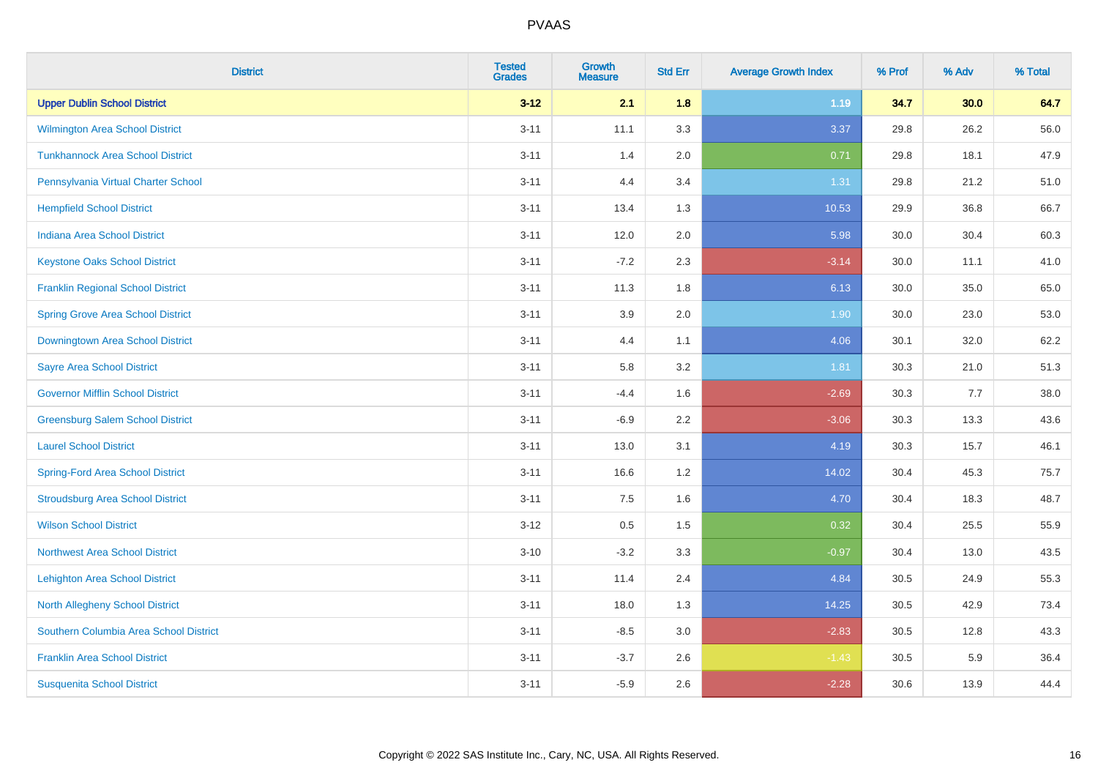| <b>District</b>                          | <b>Tested</b><br><b>Grades</b> | <b>Growth</b><br><b>Measure</b> | <b>Std Err</b> | <b>Average Growth Index</b> | % Prof | % Adv | % Total |
|------------------------------------------|--------------------------------|---------------------------------|----------------|-----------------------------|--------|-------|---------|
| <b>Upper Dublin School District</b>      | $3 - 12$                       | 2.1                             | 1.8            | 1.19                        | 34.7   | 30.0  | 64.7    |
| Wilmington Area School District          | $3 - 11$                       | 11.1                            | 3.3            | 3.37                        | 29.8   | 26.2  | 56.0    |
| <b>Tunkhannock Area School District</b>  | $3 - 11$                       | 1.4                             | 2.0            | 0.71                        | 29.8   | 18.1  | 47.9    |
| Pennsylvania Virtual Charter School      | $3 - 11$                       | 4.4                             | 3.4            | 1.31                        | 29.8   | 21.2  | 51.0    |
| <b>Hempfield School District</b>         | $3 - 11$                       | 13.4                            | 1.3            | 10.53                       | 29.9   | 36.8  | 66.7    |
| <b>Indiana Area School District</b>      | $3 - 11$                       | 12.0                            | 2.0            | 5.98                        | 30.0   | 30.4  | 60.3    |
| <b>Keystone Oaks School District</b>     | $3 - 11$                       | $-7.2$                          | 2.3            | $-3.14$                     | 30.0   | 11.1  | 41.0    |
| <b>Franklin Regional School District</b> | $3 - 11$                       | 11.3                            | 1.8            | 6.13                        | 30.0   | 35.0  | 65.0    |
| <b>Spring Grove Area School District</b> | $3 - 11$                       | 3.9                             | 2.0            | 1.90                        | 30.0   | 23.0  | 53.0    |
| Downingtown Area School District         | $3 - 11$                       | 4.4                             | 1.1            | 4.06                        | 30.1   | 32.0  | 62.2    |
| <b>Sayre Area School District</b>        | $3 - 11$                       | 5.8                             | 3.2            | 1.81                        | 30.3   | 21.0  | 51.3    |
| <b>Governor Mifflin School District</b>  | $3 - 11$                       | $-4.4$                          | 1.6            | $-2.69$                     | 30.3   | 7.7   | 38.0    |
| <b>Greensburg Salem School District</b>  | $3 - 11$                       | $-6.9$                          | 2.2            | $-3.06$                     | 30.3   | 13.3  | 43.6    |
| <b>Laurel School District</b>            | $3 - 11$                       | 13.0                            | 3.1            | 4.19                        | 30.3   | 15.7  | 46.1    |
| <b>Spring-Ford Area School District</b>  | $3 - 11$                       | 16.6                            | 1.2            | 14.02                       | 30.4   | 45.3  | 75.7    |
| <b>Stroudsburg Area School District</b>  | $3 - 11$                       | 7.5                             | 1.6            | 4.70                        | 30.4   | 18.3  | 48.7    |
| <b>Wilson School District</b>            | $3-12$                         | 0.5                             | 1.5            | 0.32                        | 30.4   | 25.5  | 55.9    |
| <b>Northwest Area School District</b>    | $3 - 10$                       | $-3.2$                          | 3.3            | $-0.97$                     | 30.4   | 13.0  | 43.5    |
| <b>Lehighton Area School District</b>    | $3 - 11$                       | 11.4                            | 2.4            | 4.84                        | 30.5   | 24.9  | 55.3    |
| <b>North Allegheny School District</b>   | $3 - 11$                       | 18.0                            | 1.3            | 14.25                       | 30.5   | 42.9  | 73.4    |
| Southern Columbia Area School District   | $3 - 11$                       | $-8.5$                          | 3.0            | $-2.83$                     | 30.5   | 12.8  | 43.3    |
| <b>Franklin Area School District</b>     | $3 - 11$                       | $-3.7$                          | 2.6            | $-1.43$                     | 30.5   | 5.9   | 36.4    |
| <b>Susquenita School District</b>        | $3 - 11$                       | $-5.9$                          | 2.6            | $-2.28$                     | 30.6   | 13.9  | 44.4    |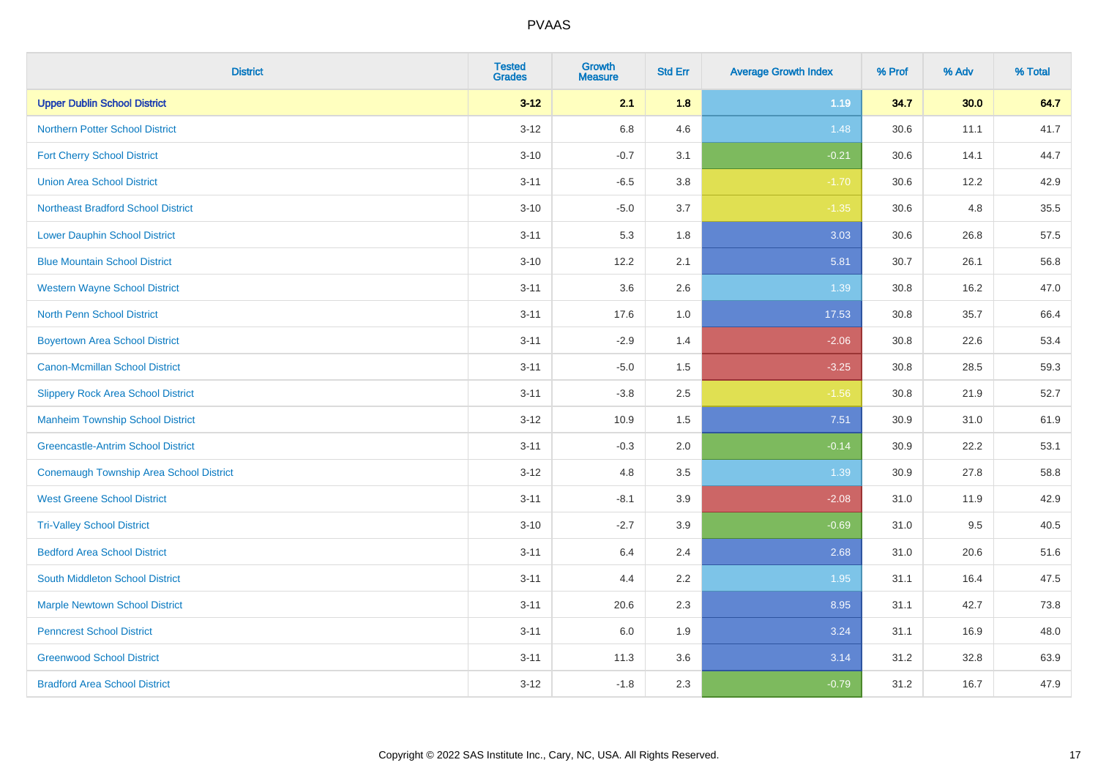| <b>District</b>                                | <b>Tested</b><br><b>Grades</b> | <b>Growth</b><br><b>Measure</b> | <b>Std Err</b> | <b>Average Growth Index</b> | % Prof | % Adv | % Total |
|------------------------------------------------|--------------------------------|---------------------------------|----------------|-----------------------------|--------|-------|---------|
| <b>Upper Dublin School District</b>            | $3 - 12$                       | 2.1                             | 1.8            | 1.19                        | 34.7   | 30.0  | 64.7    |
| <b>Northern Potter School District</b>         | $3 - 12$                       | 6.8                             | 4.6            | 1.48                        | 30.6   | 11.1  | 41.7    |
| <b>Fort Cherry School District</b>             | $3 - 10$                       | $-0.7$                          | 3.1            | $-0.21$                     | 30.6   | 14.1  | 44.7    |
| <b>Union Area School District</b>              | $3 - 11$                       | $-6.5$                          | 3.8            | $-1.70$                     | 30.6   | 12.2  | 42.9    |
| <b>Northeast Bradford School District</b>      | $3 - 10$                       | $-5.0$                          | 3.7            | $-1.35$                     | 30.6   | 4.8   | 35.5    |
| <b>Lower Dauphin School District</b>           | $3 - 11$                       | 5.3                             | 1.8            | 3.03                        | 30.6   | 26.8  | 57.5    |
| <b>Blue Mountain School District</b>           | $3 - 10$                       | 12.2                            | 2.1            | 5.81                        | 30.7   | 26.1  | 56.8    |
| <b>Western Wayne School District</b>           | $3 - 11$                       | 3.6                             | 2.6            | 1.39                        | 30.8   | 16.2  | 47.0    |
| <b>North Penn School District</b>              | $3 - 11$                       | 17.6                            | 1.0            | 17.53                       | 30.8   | 35.7  | 66.4    |
| <b>Boyertown Area School District</b>          | $3 - 11$                       | $-2.9$                          | 1.4            | $-2.06$                     | 30.8   | 22.6  | 53.4    |
| <b>Canon-Mcmillan School District</b>          | $3 - 11$                       | $-5.0$                          | 1.5            | $-3.25$                     | 30.8   | 28.5  | 59.3    |
| <b>Slippery Rock Area School District</b>      | $3 - 11$                       | $-3.8$                          | 2.5            | $-1.56$                     | 30.8   | 21.9  | 52.7    |
| <b>Manheim Township School District</b>        | $3 - 12$                       | 10.9                            | 1.5            | 7.51                        | 30.9   | 31.0  | 61.9    |
| <b>Greencastle-Antrim School District</b>      | $3 - 11$                       | $-0.3$                          | 2.0            | $-0.14$                     | 30.9   | 22.2  | 53.1    |
| <b>Conemaugh Township Area School District</b> | $3-12$                         | 4.8                             | 3.5            | 1.39                        | 30.9   | 27.8  | 58.8    |
| <b>West Greene School District</b>             | $3 - 11$                       | $-8.1$                          | 3.9            | $-2.08$                     | 31.0   | 11.9  | 42.9    |
| <b>Tri-Valley School District</b>              | $3 - 10$                       | $-2.7$                          | 3.9            | $-0.69$                     | 31.0   | 9.5   | 40.5    |
| <b>Bedford Area School District</b>            | $3 - 11$                       | 6.4                             | 2.4            | 2.68                        | 31.0   | 20.6  | 51.6    |
| South Middleton School District                | $3 - 11$                       | 4.4                             | 2.2            | 1.95                        | 31.1   | 16.4  | 47.5    |
| <b>Marple Newtown School District</b>          | $3 - 11$                       | 20.6                            | 2.3            | 8.95                        | 31.1   | 42.7  | 73.8    |
| <b>Penncrest School District</b>               | $3 - 11$                       | 6.0                             | 1.9            | 3.24                        | 31.1   | 16.9  | 48.0    |
| <b>Greenwood School District</b>               | $3 - 11$                       | 11.3                            | 3.6            | 3.14                        | 31.2   | 32.8  | 63.9    |
| <b>Bradford Area School District</b>           | $3 - 12$                       | $-1.8$                          | 2.3            | $-0.79$                     | 31.2   | 16.7  | 47.9    |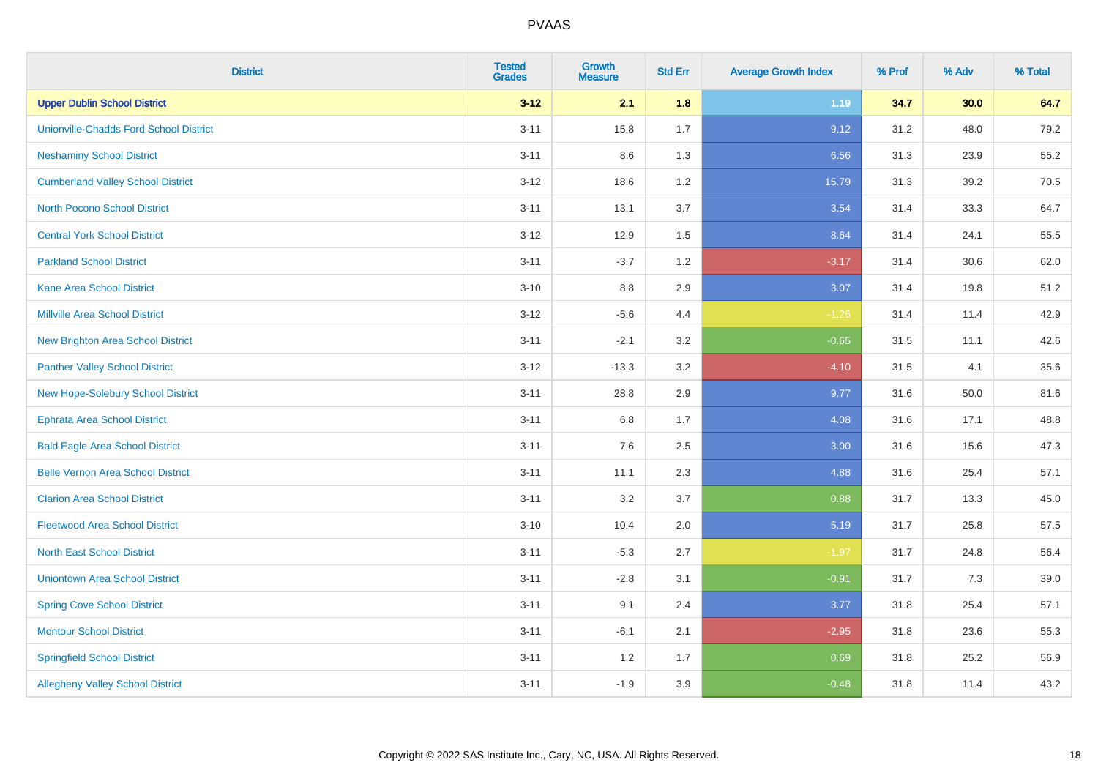| <b>District</b>                               | <b>Tested</b><br><b>Grades</b> | <b>Growth</b><br><b>Measure</b> | <b>Std Err</b> | <b>Average Growth Index</b> | % Prof | % Adv | % Total |
|-----------------------------------------------|--------------------------------|---------------------------------|----------------|-----------------------------|--------|-------|---------|
| <b>Upper Dublin School District</b>           | $3 - 12$                       | 2.1                             | 1.8            | 1.19                        | 34.7   | 30.0  | 64.7    |
| <b>Unionville-Chadds Ford School District</b> | $3 - 11$                       | 15.8                            | 1.7            | 9.12                        | 31.2   | 48.0  | 79.2    |
| <b>Neshaminy School District</b>              | $3 - 11$                       | 8.6                             | 1.3            | 6.56                        | 31.3   | 23.9  | 55.2    |
| <b>Cumberland Valley School District</b>      | $3 - 12$                       | 18.6                            | 1.2            | 15.79                       | 31.3   | 39.2  | 70.5    |
| <b>North Pocono School District</b>           | $3 - 11$                       | 13.1                            | 3.7            | 3.54                        | 31.4   | 33.3  | 64.7    |
| <b>Central York School District</b>           | $3-12$                         | 12.9                            | 1.5            | 8.64                        | 31.4   | 24.1  | 55.5    |
| <b>Parkland School District</b>               | $3 - 11$                       | $-3.7$                          | 1.2            | $-3.17$                     | 31.4   | 30.6  | 62.0    |
| <b>Kane Area School District</b>              | $3 - 10$                       | 8.8                             | 2.9            | 3.07                        | 31.4   | 19.8  | 51.2    |
| <b>Millville Area School District</b>         | $3-12$                         | $-5.6$                          | 4.4            | $-1.26$                     | 31.4   | 11.4  | 42.9    |
| <b>New Brighton Area School District</b>      | $3 - 11$                       | $-2.1$                          | 3.2            | $-0.65$                     | 31.5   | 11.1  | 42.6    |
| <b>Panther Valley School District</b>         | $3-12$                         | $-13.3$                         | 3.2            | $-4.10$                     | 31.5   | 4.1   | 35.6    |
| <b>New Hope-Solebury School District</b>      | $3 - 11$                       | 28.8                            | 2.9            | 9.77                        | 31.6   | 50.0  | 81.6    |
| <b>Ephrata Area School District</b>           | $3 - 11$                       | 6.8                             | 1.7            | 4.08                        | 31.6   | 17.1  | 48.8    |
| <b>Bald Eagle Area School District</b>        | $3 - 11$                       | 7.6                             | 2.5            | 3.00                        | 31.6   | 15.6  | 47.3    |
| <b>Belle Vernon Area School District</b>      | $3 - 11$                       | 11.1                            | 2.3            | 4.88                        | 31.6   | 25.4  | 57.1    |
| <b>Clarion Area School District</b>           | $3 - 11$                       | 3.2                             | 3.7            | 0.88                        | 31.7   | 13.3  | 45.0    |
| <b>Fleetwood Area School District</b>         | $3 - 10$                       | 10.4                            | 2.0            | 5.19                        | 31.7   | 25.8  | 57.5    |
| <b>North East School District</b>             | $3 - 11$                       | $-5.3$                          | 2.7            | $-1.97$                     | 31.7   | 24.8  | 56.4    |
| <b>Uniontown Area School District</b>         | $3 - 11$                       | $-2.8$                          | 3.1            | $-0.91$                     | 31.7   | 7.3   | 39.0    |
| <b>Spring Cove School District</b>            | $3 - 11$                       | 9.1                             | 2.4            | 3.77                        | 31.8   | 25.4  | 57.1    |
| <b>Montour School District</b>                | $3 - 11$                       | $-6.1$                          | 2.1            | $-2.95$                     | 31.8   | 23.6  | 55.3    |
| <b>Springfield School District</b>            | $3 - 11$                       | 1.2                             | 1.7            | 0.69                        | 31.8   | 25.2  | 56.9    |
| <b>Allegheny Valley School District</b>       | $3 - 11$                       | $-1.9$                          | 3.9            | $-0.48$                     | 31.8   | 11.4  | 43.2    |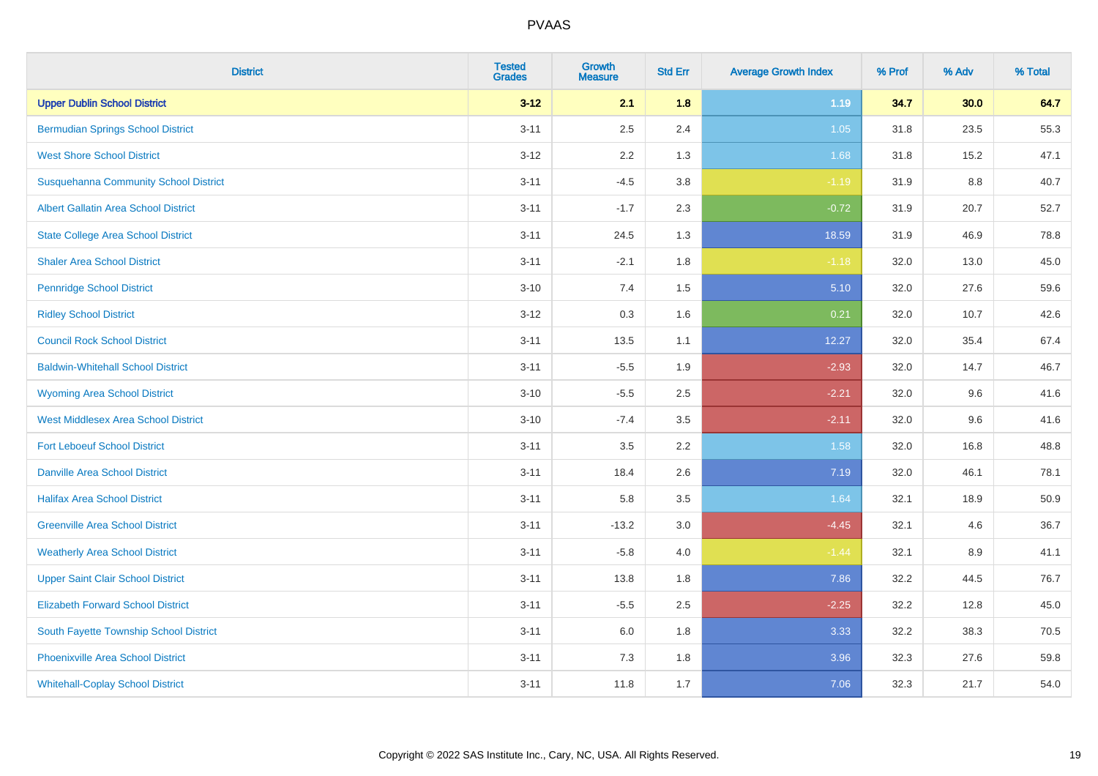| <b>District</b>                              | <b>Tested</b><br><b>Grades</b> | Growth<br><b>Measure</b> | <b>Std Err</b> | <b>Average Growth Index</b> | % Prof | % Adv   | % Total |
|----------------------------------------------|--------------------------------|--------------------------|----------------|-----------------------------|--------|---------|---------|
| <b>Upper Dublin School District</b>          | $3 - 12$                       | 2.1                      | 1.8            | 1.19                        | 34.7   | 30.0    | 64.7    |
| <b>Bermudian Springs School District</b>     | $3 - 11$                       | 2.5                      | 2.4            | $1.05$                      | 31.8   | 23.5    | 55.3    |
| <b>West Shore School District</b>            | $3 - 12$                       | 2.2                      | 1.3            | 1.68                        | 31.8   | 15.2    | 47.1    |
| <b>Susquehanna Community School District</b> | $3 - 11$                       | $-4.5$                   | 3.8            | $-1.19$                     | 31.9   | $8.8\,$ | 40.7    |
| Albert Gallatin Area School District         | $3 - 11$                       | $-1.7$                   | 2.3            | $-0.72$                     | 31.9   | 20.7    | 52.7    |
| <b>State College Area School District</b>    | $3 - 11$                       | 24.5                     | 1.3            | 18.59                       | 31.9   | 46.9    | 78.8    |
| <b>Shaler Area School District</b>           | $3 - 11$                       | $-2.1$                   | 1.8            | $-1.18$                     | 32.0   | 13.0    | 45.0    |
| <b>Pennridge School District</b>             | $3 - 10$                       | 7.4                      | 1.5            | 5.10                        | 32.0   | 27.6    | 59.6    |
| <b>Ridley School District</b>                | $3 - 12$                       | 0.3                      | 1.6            | 0.21                        | 32.0   | 10.7    | 42.6    |
| <b>Council Rock School District</b>          | $3 - 11$                       | 13.5                     | 1.1            | 12.27                       | 32.0   | 35.4    | 67.4    |
| <b>Baldwin-Whitehall School District</b>     | $3 - 11$                       | $-5.5$                   | 1.9            | $-2.93$                     | 32.0   | 14.7    | 46.7    |
| <b>Wyoming Area School District</b>          | $3 - 10$                       | $-5.5$                   | 2.5            | $-2.21$                     | 32.0   | 9.6     | 41.6    |
| <b>West Middlesex Area School District</b>   | $3 - 10$                       | $-7.4$                   | 3.5            | $-2.11$                     | 32.0   | 9.6     | 41.6    |
| <b>Fort Leboeuf School District</b>          | $3 - 11$                       | 3.5                      | 2.2            | 1.58                        | 32.0   | 16.8    | 48.8    |
| <b>Danville Area School District</b>         | $3 - 11$                       | 18.4                     | 2.6            | 7.19                        | 32.0   | 46.1    | 78.1    |
| <b>Halifax Area School District</b>          | $3 - 11$                       | 5.8                      | 3.5            | 1.64                        | 32.1   | 18.9    | 50.9    |
| <b>Greenville Area School District</b>       | $3 - 11$                       | $-13.2$                  | 3.0            | $-4.45$                     | 32.1   | 4.6     | 36.7    |
| <b>Weatherly Area School District</b>        | $3 - 11$                       | $-5.8$                   | 4.0            | $-1.44$                     | 32.1   | 8.9     | 41.1    |
| <b>Upper Saint Clair School District</b>     | $3 - 11$                       | 13.8                     | 1.8            | 7.86                        | 32.2   | 44.5    | 76.7    |
| <b>Elizabeth Forward School District</b>     | $3 - 11$                       | $-5.5$                   | 2.5            | $-2.25$                     | 32.2   | 12.8    | 45.0    |
| South Fayette Township School District       | $3 - 11$                       | 6.0                      | 1.8            | 3.33                        | 32.2   | 38.3    | 70.5    |
| <b>Phoenixville Area School District</b>     | $3 - 11$                       | 7.3                      | 1.8            | 3.96                        | 32.3   | 27.6    | 59.8    |
| <b>Whitehall-Coplay School District</b>      | $3 - 11$                       | 11.8                     | 1.7            | 7.06                        | 32.3   | 21.7    | 54.0    |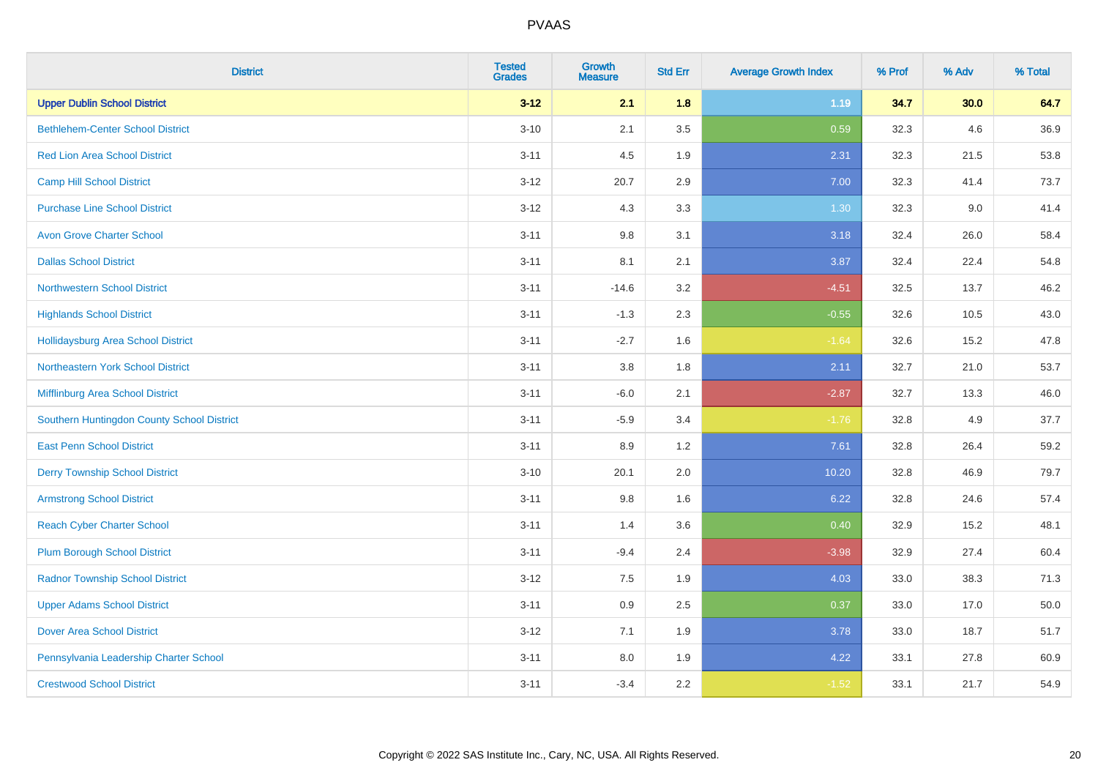| <b>District</b>                            | <b>Tested</b><br><b>Grades</b> | <b>Growth</b><br><b>Measure</b> | <b>Std Err</b> | <b>Average Growth Index</b> | % Prof | % Adv | % Total |
|--------------------------------------------|--------------------------------|---------------------------------|----------------|-----------------------------|--------|-------|---------|
| <b>Upper Dublin School District</b>        | $3 - 12$                       | 2.1                             | 1.8            | 1.19                        | 34.7   | 30.0  | 64.7    |
| <b>Bethlehem-Center School District</b>    | $3 - 10$                       | 2.1                             | 3.5            | 0.59                        | 32.3   | 4.6   | 36.9    |
| <b>Red Lion Area School District</b>       | $3 - 11$                       | 4.5                             | 1.9            | 2.31                        | 32.3   | 21.5  | 53.8    |
| <b>Camp Hill School District</b>           | $3 - 12$                       | 20.7                            | 2.9            | 7.00                        | 32.3   | 41.4  | 73.7    |
| <b>Purchase Line School District</b>       | $3 - 12$                       | 4.3                             | 3.3            | 1.30                        | 32.3   | 9.0   | 41.4    |
| <b>Avon Grove Charter School</b>           | $3 - 11$                       | 9.8                             | 3.1            | 3.18                        | 32.4   | 26.0  | 58.4    |
| <b>Dallas School District</b>              | $3 - 11$                       | 8.1                             | 2.1            | 3.87                        | 32.4   | 22.4  | 54.8    |
| <b>Northwestern School District</b>        | $3 - 11$                       | $-14.6$                         | 3.2            | $-4.51$                     | 32.5   | 13.7  | 46.2    |
| <b>Highlands School District</b>           | $3 - 11$                       | $-1.3$                          | 2.3            | $-0.55$                     | 32.6   | 10.5  | 43.0    |
| Hollidaysburg Area School District         | $3 - 11$                       | $-2.7$                          | 1.6            | $-1.64$                     | 32.6   | 15.2  | 47.8    |
| Northeastern York School District          | $3 - 11$                       | 3.8                             | 1.8            | 2.11                        | 32.7   | 21.0  | 53.7    |
| Mifflinburg Area School District           | $3 - 11$                       | $-6.0$                          | 2.1            | $-2.87$                     | 32.7   | 13.3  | 46.0    |
| Southern Huntingdon County School District | $3 - 11$                       | $-5.9$                          | 3.4            | $-1.76$                     | 32.8   | 4.9   | 37.7    |
| <b>East Penn School District</b>           | $3 - 11$                       | 8.9                             | 1.2            | 7.61                        | 32.8   | 26.4  | 59.2    |
| <b>Derry Township School District</b>      | $3 - 10$                       | 20.1                            | 2.0            | 10.20                       | 32.8   | 46.9  | 79.7    |
| <b>Armstrong School District</b>           | $3 - 11$                       | 9.8                             | 1.6            | 6.22                        | 32.8   | 24.6  | 57.4    |
| <b>Reach Cyber Charter School</b>          | $3 - 11$                       | 1.4                             | 3.6            | 0.40                        | 32.9   | 15.2  | 48.1    |
| <b>Plum Borough School District</b>        | $3 - 11$                       | $-9.4$                          | 2.4            | $-3.98$                     | 32.9   | 27.4  | 60.4    |
| <b>Radnor Township School District</b>     | $3 - 12$                       | $7.5\,$                         | 1.9            | 4.03                        | 33.0   | 38.3  | 71.3    |
| <b>Upper Adams School District</b>         | $3 - 11$                       | 0.9                             | 2.5            | 0.37                        | 33.0   | 17.0  | 50.0    |
| <b>Dover Area School District</b>          | $3 - 12$                       | 7.1                             | 1.9            | 3.78                        | 33.0   | 18.7  | 51.7    |
| Pennsylvania Leadership Charter School     | $3 - 11$                       | 8.0                             | 1.9            | 4.22                        | 33.1   | 27.8  | 60.9    |
| <b>Crestwood School District</b>           | $3 - 11$                       | $-3.4$                          | 2.2            | $-1.52$                     | 33.1   | 21.7  | 54.9    |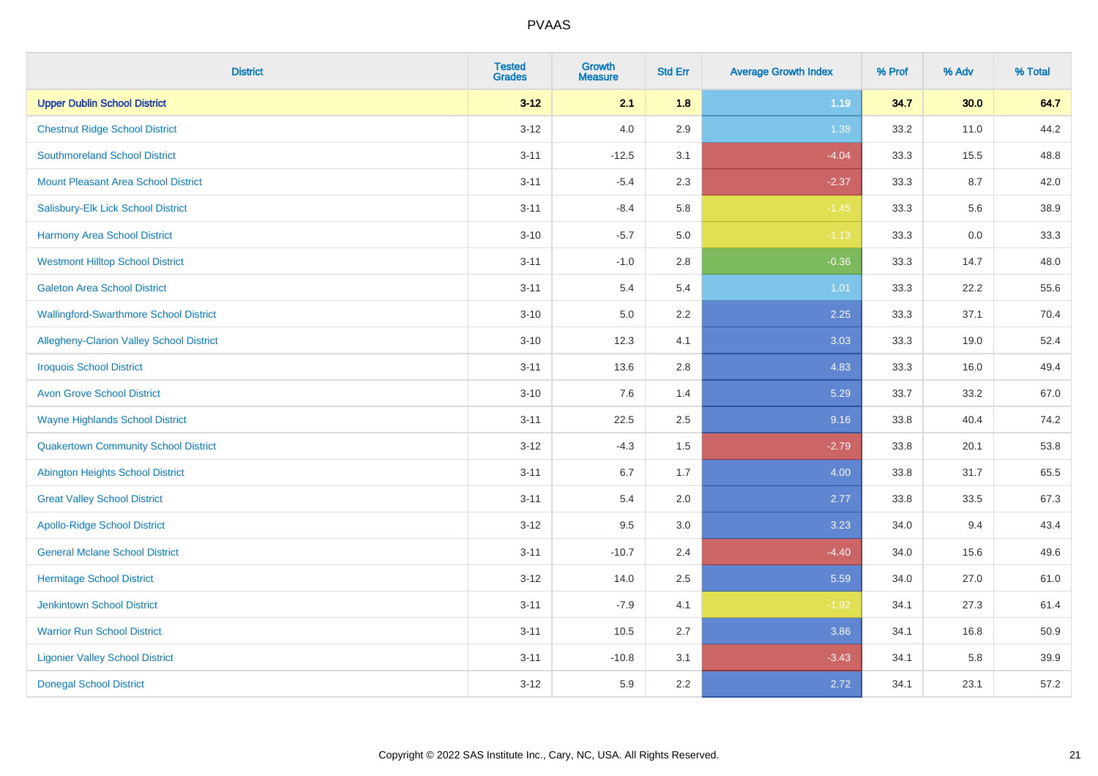| <b>District</b>                               | <b>Tested</b><br><b>Grades</b> | <b>Growth</b><br><b>Measure</b> | <b>Std Err</b> | <b>Average Growth Index</b> | % Prof | % Adv | % Total |
|-----------------------------------------------|--------------------------------|---------------------------------|----------------|-----------------------------|--------|-------|---------|
| <b>Upper Dublin School District</b>           | $3 - 12$                       | 2.1                             | 1.8            | 1.19                        | 34.7   | 30.0  | 64.7    |
| <b>Chestnut Ridge School District</b>         | $3 - 12$                       | 4.0                             | 2.9            | 1.38                        | 33.2   | 11.0  | 44.2    |
| <b>Southmoreland School District</b>          | $3 - 11$                       | $-12.5$                         | 3.1            | $-4.04$                     | 33.3   | 15.5  | 48.8    |
| <b>Mount Pleasant Area School District</b>    | $3 - 11$                       | $-5.4$                          | 2.3            | $-2.37$                     | 33.3   | 8.7   | 42.0    |
| Salisbury-Elk Lick School District            | $3 - 11$                       | $-8.4$                          | 5.8            | $-1.45$                     | 33.3   | 5.6   | 38.9    |
| <b>Harmony Area School District</b>           | $3 - 10$                       | $-5.7$                          | 5.0            | $-1.13$                     | 33.3   | 0.0   | 33.3    |
| <b>Westmont Hilltop School District</b>       | $3 - 11$                       | $-1.0$                          | 2.8            | $-0.36$                     | 33.3   | 14.7  | 48.0    |
| <b>Galeton Area School District</b>           | $3 - 11$                       | 5.4                             | 5.4            | 1.01                        | 33.3   | 22.2  | 55.6    |
| <b>Wallingford-Swarthmore School District</b> | $3 - 10$                       | 5.0                             | 2.2            | 2.25                        | 33.3   | 37.1  | 70.4    |
| Allegheny-Clarion Valley School District      | $3 - 10$                       | 12.3                            | 4.1            | 3.03                        | 33.3   | 19.0  | 52.4    |
| <b>Iroquois School District</b>               | $3 - 11$                       | 13.6                            | 2.8            | 4.83                        | 33.3   | 16.0  | 49.4    |
| <b>Avon Grove School District</b>             | $3 - 10$                       | 7.6                             | 1.4            | 5.29                        | 33.7   | 33.2  | 67.0    |
| <b>Wayne Highlands School District</b>        | $3 - 11$                       | 22.5                            | 2.5            | 9.16                        | 33.8   | 40.4  | 74.2    |
| <b>Quakertown Community School District</b>   | $3 - 12$                       | $-4.3$                          | 1.5            | $-2.79$                     | 33.8   | 20.1  | 53.8    |
| <b>Abington Heights School District</b>       | $3 - 11$                       | 6.7                             | 1.7            | 4.00                        | 33.8   | 31.7  | 65.5    |
| <b>Great Valley School District</b>           | $3 - 11$                       | 5.4                             | 2.0            | 2.77                        | 33.8   | 33.5  | 67.3    |
| <b>Apollo-Ridge School District</b>           | $3 - 12$                       | 9.5                             | 3.0            | 3.23                        | 34.0   | 9.4   | 43.4    |
| <b>General Mclane School District</b>         | $3 - 11$                       | $-10.7$                         | 2.4            | $-4.40$                     | 34.0   | 15.6  | 49.6    |
| <b>Hermitage School District</b>              | $3 - 12$                       | 14.0                            | 2.5            | 5.59                        | 34.0   | 27.0  | 61.0    |
| <b>Jenkintown School District</b>             | $3 - 11$                       | $-7.9$                          | 4.1            | $-1.92$                     | 34.1   | 27.3  | 61.4    |
| <b>Warrior Run School District</b>            | $3 - 11$                       | 10.5                            | 2.7            | 3.86                        | 34.1   | 16.8  | 50.9    |
| <b>Ligonier Valley School District</b>        | $3 - 11$                       | $-10.8$                         | 3.1            | $-3.43$                     | 34.1   | 5.8   | 39.9    |
| <b>Donegal School District</b>                | $3 - 12$                       | 5.9                             | 2.2            | 2.72                        | 34.1   | 23.1  | 57.2    |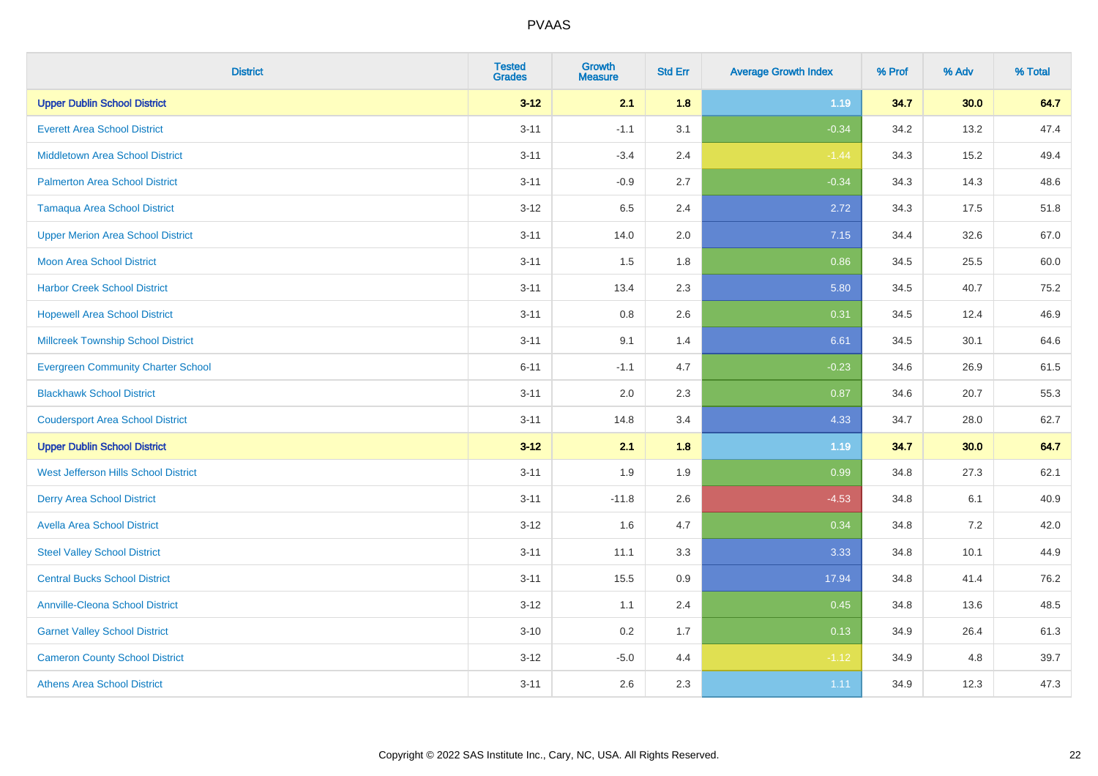| <b>District</b>                           | <b>Tested</b><br><b>Grades</b> | Growth<br><b>Measure</b> | <b>Std Err</b> | <b>Average Growth Index</b> | % Prof | % Adv | % Total |
|-------------------------------------------|--------------------------------|--------------------------|----------------|-----------------------------|--------|-------|---------|
| <b>Upper Dublin School District</b>       | $3 - 12$                       | 2.1                      | 1.8            | 1.19                        | 34.7   | 30.0  | 64.7    |
| <b>Everett Area School District</b>       | $3 - 11$                       | $-1.1$                   | 3.1            | $-0.34$                     | 34.2   | 13.2  | 47.4    |
| <b>Middletown Area School District</b>    | $3 - 11$                       | $-3.4$                   | 2.4            | $-1.44$                     | 34.3   | 15.2  | 49.4    |
| <b>Palmerton Area School District</b>     | $3 - 11$                       | $-0.9$                   | 2.7            | $-0.34$                     | 34.3   | 14.3  | 48.6    |
| <b>Tamaqua Area School District</b>       | $3 - 12$                       | 6.5                      | 2.4            | 2.72                        | 34.3   | 17.5  | 51.8    |
| <b>Upper Merion Area School District</b>  | $3 - 11$                       | 14.0                     | 2.0            | 7.15                        | 34.4   | 32.6  | 67.0    |
| <b>Moon Area School District</b>          | $3 - 11$                       | 1.5                      | 1.8            | 0.86                        | 34.5   | 25.5  | 60.0    |
| <b>Harbor Creek School District</b>       | $3 - 11$                       | 13.4                     | 2.3            | 5.80                        | 34.5   | 40.7  | 75.2    |
| <b>Hopewell Area School District</b>      | $3 - 11$                       | 0.8                      | 2.6            | 0.31                        | 34.5   | 12.4  | 46.9    |
| <b>Millcreek Township School District</b> | $3 - 11$                       | 9.1                      | 1.4            | 6.61                        | 34.5   | 30.1  | 64.6    |
| <b>Evergreen Community Charter School</b> | $6 - 11$                       | $-1.1$                   | 4.7            | $-0.23$                     | 34.6   | 26.9  | 61.5    |
| <b>Blackhawk School District</b>          | $3 - 11$                       | 2.0                      | 2.3            | 0.87                        | 34.6   | 20.7  | 55.3    |
| <b>Coudersport Area School District</b>   | $3 - 11$                       | 14.8                     | 3.4            | 4.33                        | 34.7   | 28.0  | 62.7    |
| <b>Upper Dublin School District</b>       | $3 - 12$                       | 2.1                      | 1.8            | 1.19                        | 34.7   | 30.0  | 64.7    |
| West Jefferson Hills School District      | $3 - 11$                       | 1.9                      | 1.9            | 0.99                        | 34.8   | 27.3  | 62.1    |
| <b>Derry Area School District</b>         | $3 - 11$                       | $-11.8$                  | 2.6            | $-4.53$                     | 34.8   | 6.1   | 40.9    |
| <b>Avella Area School District</b>        | $3 - 12$                       | 1.6                      | 4.7            | 0.34                        | 34.8   | 7.2   | 42.0    |
| <b>Steel Valley School District</b>       | $3 - 11$                       | 11.1                     | 3.3            | 3.33                        | 34.8   | 10.1  | 44.9    |
| <b>Central Bucks School District</b>      | $3 - 11$                       | 15.5                     | 0.9            | 17.94                       | 34.8   | 41.4  | 76.2    |
| <b>Annville-Cleona School District</b>    | $3 - 12$                       | 1.1                      | 2.4            | 0.45                        | 34.8   | 13.6  | 48.5    |
| <b>Garnet Valley School District</b>      | $3 - 10$                       | 0.2                      | 1.7            | 0.13                        | 34.9   | 26.4  | 61.3    |
| <b>Cameron County School District</b>     | $3 - 12$                       | $-5.0$                   | 4.4            | $-1.12$                     | 34.9   | 4.8   | 39.7    |
| <b>Athens Area School District</b>        | $3 - 11$                       | 2.6                      | 2.3            | 1.11                        | 34.9   | 12.3  | 47.3    |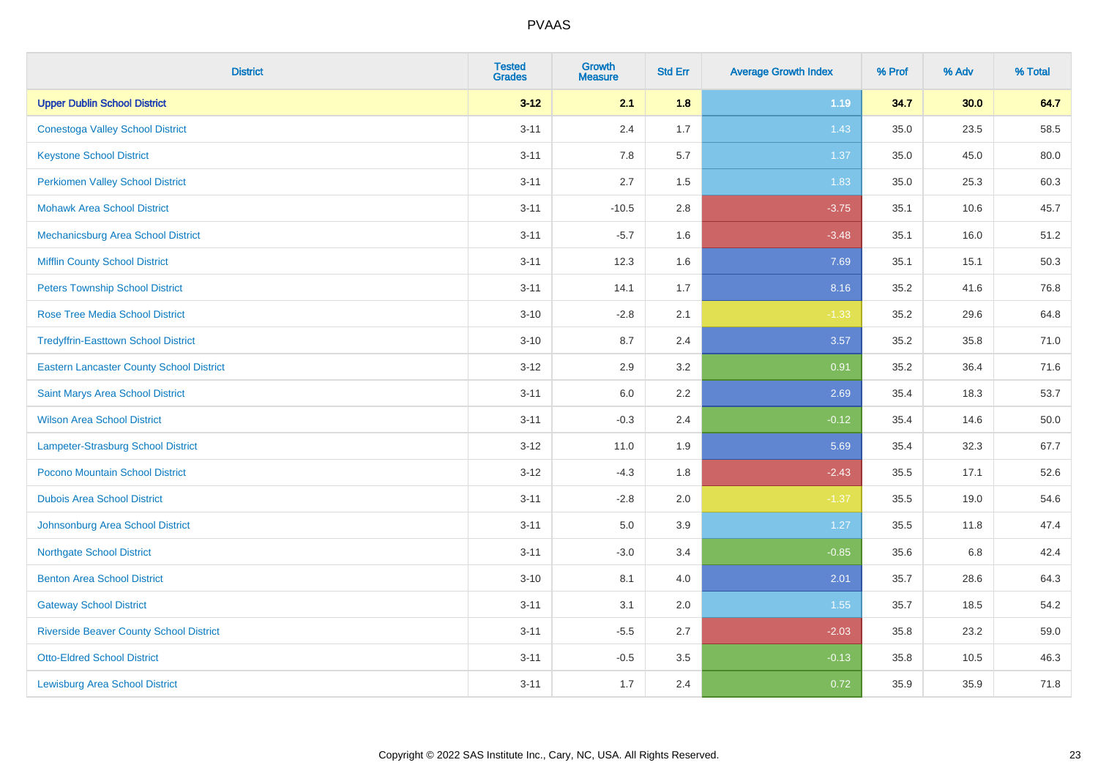| <b>District</b>                                 | <b>Tested</b><br><b>Grades</b> | <b>Growth</b><br><b>Measure</b> | <b>Std Err</b> | <b>Average Growth Index</b> | % Prof | % Adv | % Total |
|-------------------------------------------------|--------------------------------|---------------------------------|----------------|-----------------------------|--------|-------|---------|
| <b>Upper Dublin School District</b>             | $3 - 12$                       | 2.1                             | 1.8            | 1.19                        | 34.7   | 30.0  | 64.7    |
| <b>Conestoga Valley School District</b>         | $3 - 11$                       | 2.4                             | 1.7            | 1.43                        | 35.0   | 23.5  | 58.5    |
| <b>Keystone School District</b>                 | $3 - 11$                       | 7.8                             | 5.7            | 1.37                        | 35.0   | 45.0  | 80.0    |
| <b>Perkiomen Valley School District</b>         | $3 - 11$                       | 2.7                             | 1.5            | 1.83                        | 35.0   | 25.3  | 60.3    |
| <b>Mohawk Area School District</b>              | $3 - 11$                       | $-10.5$                         | 2.8            | $-3.75$                     | 35.1   | 10.6  | 45.7    |
| Mechanicsburg Area School District              | $3 - 11$                       | $-5.7$                          | 1.6            | $-3.48$                     | 35.1   | 16.0  | 51.2    |
| <b>Mifflin County School District</b>           | $3 - 11$                       | 12.3                            | 1.6            | 7.69                        | 35.1   | 15.1  | 50.3    |
| <b>Peters Township School District</b>          | $3 - 11$                       | 14.1                            | 1.7            | 8.16                        | 35.2   | 41.6  | 76.8    |
| <b>Rose Tree Media School District</b>          | $3 - 10$                       | $-2.8$                          | 2.1            | $-1.33$                     | 35.2   | 29.6  | 64.8    |
| <b>Tredyffrin-Easttown School District</b>      | $3 - 10$                       | 8.7                             | 2.4            | 3.57                        | 35.2   | 35.8  | 71.0    |
| <b>Eastern Lancaster County School District</b> | $3-12$                         | 2.9                             | 3.2            | 0.91                        | 35.2   | 36.4  | 71.6    |
| Saint Marys Area School District                | $3 - 11$                       | 6.0                             | 2.2            | 2.69                        | 35.4   | 18.3  | 53.7    |
| <b>Wilson Area School District</b>              | $3 - 11$                       | $-0.3$                          | 2.4            | $-0.12$                     | 35.4   | 14.6  | 50.0    |
| Lampeter-Strasburg School District              | $3 - 12$                       | 11.0                            | 1.9            | 5.69                        | 35.4   | 32.3  | 67.7    |
| Pocono Mountain School District                 | $3 - 12$                       | $-4.3$                          | 1.8            | $-2.43$                     | 35.5   | 17.1  | 52.6    |
| <b>Dubois Area School District</b>              | $3 - 11$                       | $-2.8$                          | 2.0            | $-1.37$                     | 35.5   | 19.0  | 54.6    |
| Johnsonburg Area School District                | $3 - 11$                       | 5.0                             | 3.9            | 1.27                        | 35.5   | 11.8  | 47.4    |
| <b>Northgate School District</b>                | $3 - 11$                       | $-3.0$                          | 3.4            | $-0.85$                     | 35.6   | 6.8   | 42.4    |
| <b>Benton Area School District</b>              | $3 - 10$                       | 8.1                             | 4.0            | 2.01                        | 35.7   | 28.6  | 64.3    |
| <b>Gateway School District</b>                  | $3 - 11$                       | 3.1                             | 2.0            | 1.55                        | 35.7   | 18.5  | 54.2    |
| <b>Riverside Beaver County School District</b>  | $3 - 11$                       | $-5.5$                          | 2.7            | $-2.03$                     | 35.8   | 23.2  | 59.0    |
| <b>Otto-Eldred School District</b>              | $3 - 11$                       | $-0.5$                          | 3.5            | $-0.13$                     | 35.8   | 10.5  | 46.3    |
| <b>Lewisburg Area School District</b>           | $3 - 11$                       | 1.7                             | 2.4            | 0.72                        | 35.9   | 35.9  | 71.8    |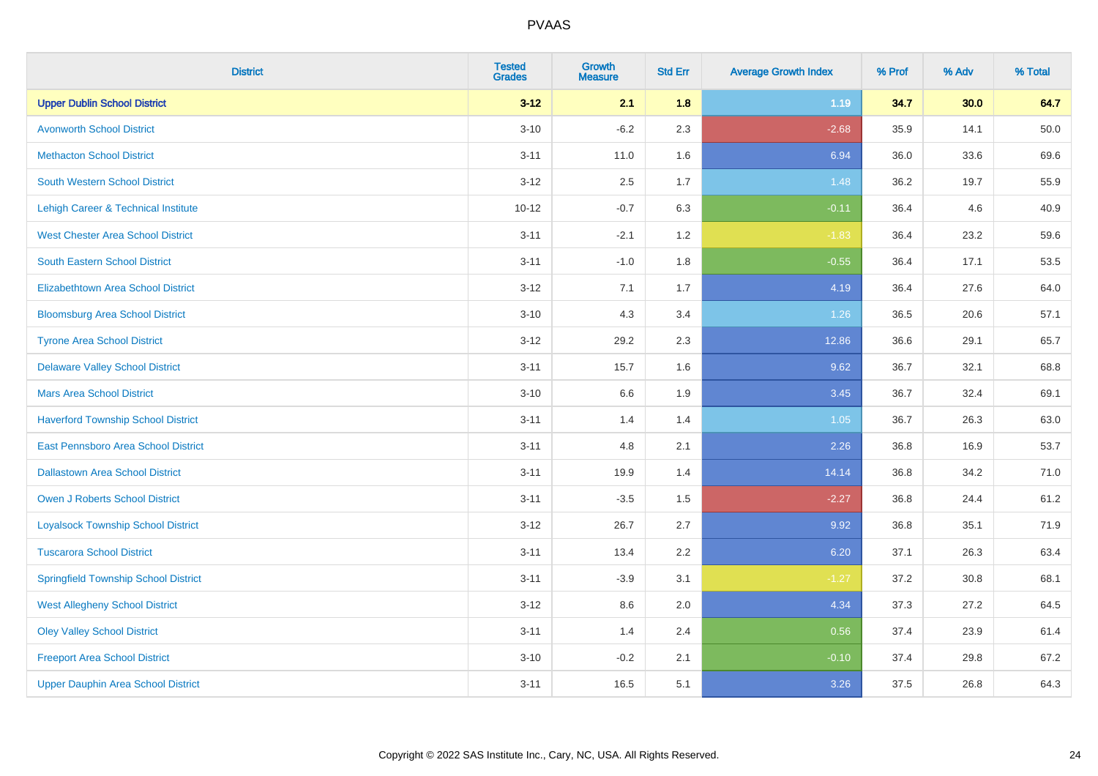| <b>District</b>                             | <b>Tested</b><br><b>Grades</b> | <b>Growth</b><br><b>Measure</b> | <b>Std Err</b> | <b>Average Growth Index</b> | % Prof | % Adv | % Total |
|---------------------------------------------|--------------------------------|---------------------------------|----------------|-----------------------------|--------|-------|---------|
| <b>Upper Dublin School District</b>         | $3 - 12$                       | 2.1                             | 1.8            | 1.19                        | 34.7   | 30.0  | 64.7    |
| <b>Avonworth School District</b>            | $3 - 10$                       | $-6.2$                          | 2.3            | $-2.68$                     | 35.9   | 14.1  | 50.0    |
| <b>Methacton School District</b>            | $3 - 11$                       | 11.0                            | 1.6            | 6.94                        | 36.0   | 33.6  | 69.6    |
| <b>South Western School District</b>        | $3 - 12$                       | 2.5                             | 1.7            | 1.48                        | 36.2   | 19.7  | 55.9    |
| Lehigh Career & Technical Institute         | $10 - 12$                      | $-0.7$                          | 6.3            | $-0.11$                     | 36.4   | 4.6   | 40.9    |
| <b>West Chester Area School District</b>    | $3 - 11$                       | $-2.1$                          | 1.2            | $-1.83$                     | 36.4   | 23.2  | 59.6    |
| <b>South Eastern School District</b>        | $3 - 11$                       | $-1.0$                          | 1.8            | $-0.55$                     | 36.4   | 17.1  | 53.5    |
| <b>Elizabethtown Area School District</b>   | $3 - 12$                       | 7.1                             | 1.7            | 4.19                        | 36.4   | 27.6  | 64.0    |
| <b>Bloomsburg Area School District</b>      | $3 - 10$                       | 4.3                             | 3.4            | 1.26                        | 36.5   | 20.6  | 57.1    |
| <b>Tyrone Area School District</b>          | $3 - 12$                       | 29.2                            | 2.3            | 12.86                       | 36.6   | 29.1  | 65.7    |
| <b>Delaware Valley School District</b>      | $3 - 11$                       | 15.7                            | 1.6            | 9.62                        | 36.7   | 32.1  | 68.8    |
| <b>Mars Area School District</b>            | $3 - 10$                       | 6.6                             | 1.9            | 3.45                        | 36.7   | 32.4  | 69.1    |
| <b>Haverford Township School District</b>   | $3 - 11$                       | 1.4                             | 1.4            | 1.05                        | 36.7   | 26.3  | 63.0    |
| East Pennsboro Area School District         | $3 - 11$                       | 4.8                             | 2.1            | 2.26                        | 36.8   | 16.9  | 53.7    |
| <b>Dallastown Area School District</b>      | $3 - 11$                       | 19.9                            | 1.4            | 14.14                       | 36.8   | 34.2  | 71.0    |
| <b>Owen J Roberts School District</b>       | $3 - 11$                       | $-3.5$                          | 1.5            | $-2.27$                     | 36.8   | 24.4  | 61.2    |
| <b>Loyalsock Township School District</b>   | $3 - 12$                       | 26.7                            | 2.7            | 9.92                        | 36.8   | 35.1  | 71.9    |
| <b>Tuscarora School District</b>            | $3 - 11$                       | 13.4                            | 2.2            | 6.20                        | 37.1   | 26.3  | 63.4    |
| <b>Springfield Township School District</b> | $3 - 11$                       | $-3.9$                          | 3.1            | $-1.27$                     | 37.2   | 30.8  | 68.1    |
| <b>West Allegheny School District</b>       | $3 - 12$                       | 8.6                             | 2.0            | 4.34                        | 37.3   | 27.2  | 64.5    |
| <b>Oley Valley School District</b>          | $3 - 11$                       | 1.4                             | 2.4            | 0.56                        | 37.4   | 23.9  | 61.4    |
| <b>Freeport Area School District</b>        | $3 - 10$                       | $-0.2$                          | 2.1            | $-0.10$                     | 37.4   | 29.8  | 67.2    |
| <b>Upper Dauphin Area School District</b>   | $3 - 11$                       | 16.5                            | 5.1            | 3.26                        | 37.5   | 26.8  | 64.3    |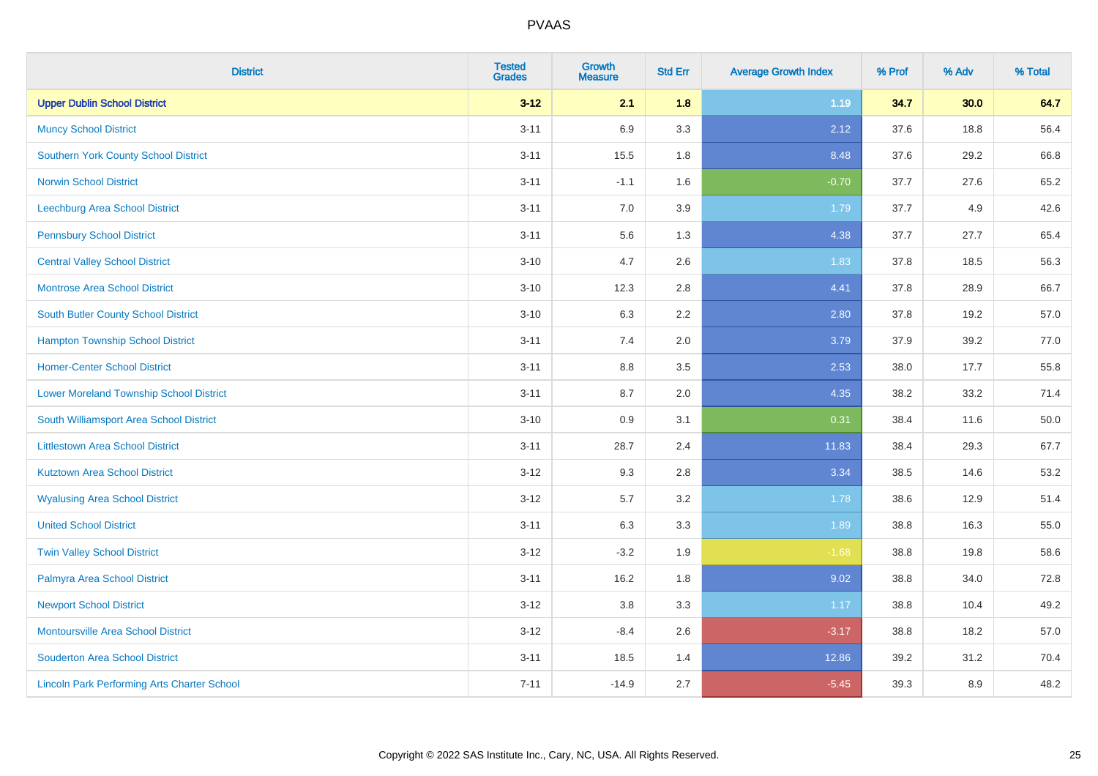| <b>District</b>                                    | <b>Tested</b><br><b>Grades</b> | <b>Growth</b><br><b>Measure</b> | <b>Std Err</b> | <b>Average Growth Index</b> | % Prof | % Adv | % Total |
|----------------------------------------------------|--------------------------------|---------------------------------|----------------|-----------------------------|--------|-------|---------|
| <b>Upper Dublin School District</b>                | $3 - 12$                       | 2.1                             | 1.8            | 1.19                        | 34.7   | 30.0  | 64.7    |
| <b>Muncy School District</b>                       | $3 - 11$                       | 6.9                             | 3.3            | 2.12                        | 37.6   | 18.8  | 56.4    |
| <b>Southern York County School District</b>        | $3 - 11$                       | 15.5                            | 1.8            | 8.48                        | 37.6   | 29.2  | 66.8    |
| <b>Norwin School District</b>                      | $3 - 11$                       | $-1.1$                          | 1.6            | $-0.70$                     | 37.7   | 27.6  | 65.2    |
| Leechburg Area School District                     | $3 - 11$                       | 7.0                             | 3.9            | 1.79                        | 37.7   | 4.9   | 42.6    |
| <b>Pennsbury School District</b>                   | $3 - 11$                       | 5.6                             | 1.3            | 4.38                        | 37.7   | 27.7  | 65.4    |
| <b>Central Valley School District</b>              | $3 - 10$                       | 4.7                             | 2.6            | 1.83                        | 37.8   | 18.5  | 56.3    |
| <b>Montrose Area School District</b>               | $3 - 10$                       | 12.3                            | 2.8            | 4.41                        | 37.8   | 28.9  | 66.7    |
| South Butler County School District                | $3 - 10$                       | 6.3                             | 2.2            | 2.80                        | 37.8   | 19.2  | 57.0    |
| <b>Hampton Township School District</b>            | $3 - 11$                       | 7.4                             | 2.0            | 3.79                        | 37.9   | 39.2  | 77.0    |
| <b>Homer-Center School District</b>                | $3 - 11$                       | 8.8                             | 3.5            | 2.53                        | 38.0   | 17.7  | 55.8    |
| <b>Lower Moreland Township School District</b>     | $3 - 11$                       | 8.7                             | 2.0            | 4.35                        | 38.2   | 33.2  | 71.4    |
| South Williamsport Area School District            | $3 - 10$                       | 0.9                             | 3.1            | 0.31                        | 38.4   | 11.6  | 50.0    |
| <b>Littlestown Area School District</b>            | $3 - 11$                       | 28.7                            | 2.4            | 11.83                       | 38.4   | 29.3  | 67.7    |
| <b>Kutztown Area School District</b>               | $3-12$                         | 9.3                             | 2.8            | 3.34                        | 38.5   | 14.6  | 53.2    |
| <b>Wyalusing Area School District</b>              | $3 - 12$                       | 5.7                             | 3.2            | 1.78                        | 38.6   | 12.9  | 51.4    |
| <b>United School District</b>                      | $3 - 11$                       | 6.3                             | 3.3            | 1.89                        | 38.8   | 16.3  | 55.0    |
| <b>Twin Valley School District</b>                 | $3-12$                         | $-3.2$                          | 1.9            | $-1.68$                     | 38.8   | 19.8  | 58.6    |
| Palmyra Area School District                       | $3 - 11$                       | 16.2                            | 1.8            | 9.02                        | 38.8   | 34.0  | 72.8    |
| <b>Newport School District</b>                     | $3-12$                         | 3.8                             | 3.3            | 1.17                        | 38.8   | 10.4  | 49.2    |
| <b>Montoursville Area School District</b>          | $3 - 12$                       | $-8.4$                          | 2.6            | $-3.17$                     | 38.8   | 18.2  | 57.0    |
| <b>Souderton Area School District</b>              | $3 - 11$                       | 18.5                            | 1.4            | 12.86                       | 39.2   | 31.2  | 70.4    |
| <b>Lincoln Park Performing Arts Charter School</b> | $7 - 11$                       | $-14.9$                         | 2.7            | $-5.45$                     | 39.3   | 8.9   | 48.2    |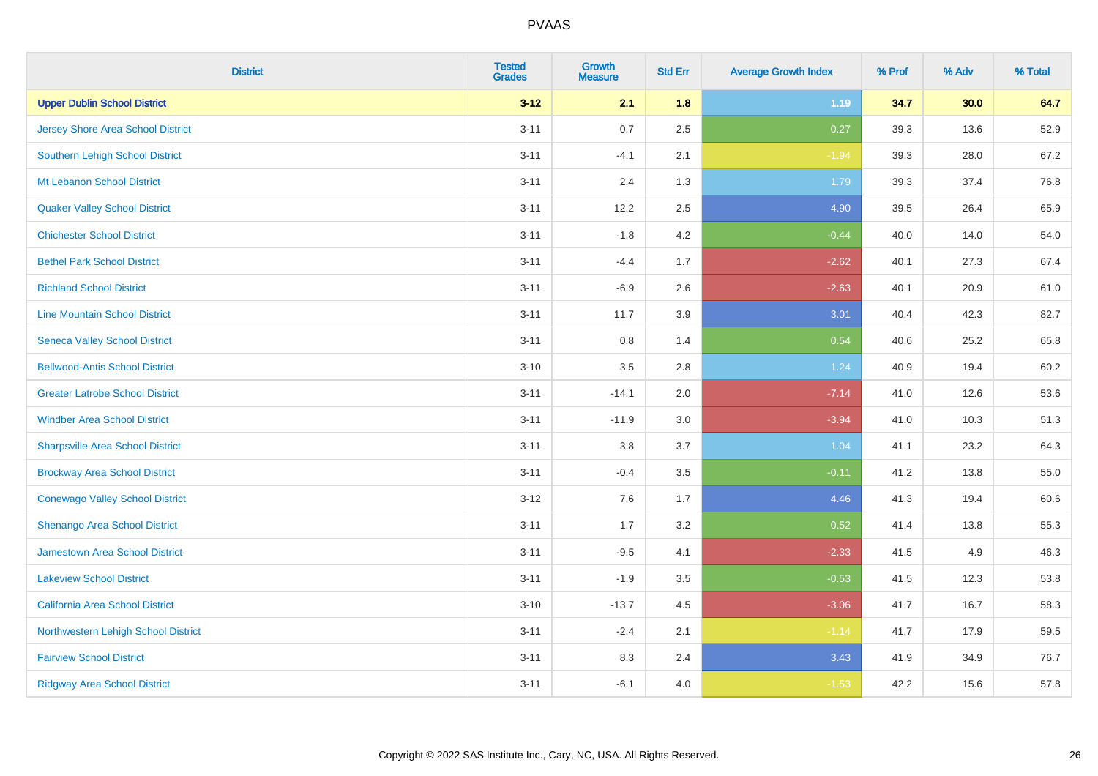| <b>District</b>                          | <b>Tested</b><br><b>Grades</b> | Growth<br><b>Measure</b> | <b>Std Err</b> | <b>Average Growth Index</b> | % Prof | % Adv | % Total |
|------------------------------------------|--------------------------------|--------------------------|----------------|-----------------------------|--------|-------|---------|
| <b>Upper Dublin School District</b>      | $3 - 12$                       | 2.1                      | 1.8            | 1.19                        | 34.7   | 30.0  | 64.7    |
| <b>Jersey Shore Area School District</b> | $3 - 11$                       | 0.7                      | 2.5            | 0.27                        | 39.3   | 13.6  | 52.9    |
| Southern Lehigh School District          | $3 - 11$                       | $-4.1$                   | 2.1            | $-1.94$                     | 39.3   | 28.0  | 67.2    |
| Mt Lebanon School District               | $3 - 11$                       | 2.4                      | 1.3            | 1.79                        | 39.3   | 37.4  | 76.8    |
| <b>Quaker Valley School District</b>     | $3 - 11$                       | 12.2                     | 2.5            | 4.90                        | 39.5   | 26.4  | 65.9    |
| <b>Chichester School District</b>        | $3 - 11$                       | $-1.8$                   | 4.2            | $-0.44$                     | 40.0   | 14.0  | 54.0    |
| <b>Bethel Park School District</b>       | $3 - 11$                       | $-4.4$                   | 1.7            | $-2.62$                     | 40.1   | 27.3  | 67.4    |
| <b>Richland School District</b>          | $3 - 11$                       | $-6.9$                   | 2.6            | $-2.63$                     | 40.1   | 20.9  | 61.0    |
| <b>Line Mountain School District</b>     | $3 - 11$                       | 11.7                     | 3.9            | 3.01                        | 40.4   | 42.3  | 82.7    |
| <b>Seneca Valley School District</b>     | $3 - 11$                       | 0.8                      | 1.4            | 0.54                        | 40.6   | 25.2  | 65.8    |
| <b>Bellwood-Antis School District</b>    | $3 - 10$                       | 3.5                      | 2.8            | 1.24                        | 40.9   | 19.4  | 60.2    |
| <b>Greater Latrobe School District</b>   | $3 - 11$                       | $-14.1$                  | 2.0            | $-7.14$                     | 41.0   | 12.6  | 53.6    |
| <b>Windber Area School District</b>      | $3 - 11$                       | $-11.9$                  | 3.0            | $-3.94$                     | 41.0   | 10.3  | 51.3    |
| <b>Sharpsville Area School District</b>  | $3 - 11$                       | $3.8\,$                  | 3.7            | 1.04                        | 41.1   | 23.2  | 64.3    |
| <b>Brockway Area School District</b>     | $3 - 11$                       | $-0.4$                   | 3.5            | $-0.11$                     | 41.2   | 13.8  | 55.0    |
| <b>Conewago Valley School District</b>   | $3 - 12$                       | 7.6                      | 1.7            | 4.46                        | 41.3   | 19.4  | 60.6    |
| Shenango Area School District            | $3 - 11$                       | 1.7                      | 3.2            | 0.52                        | 41.4   | 13.8  | 55.3    |
| Jamestown Area School District           | $3 - 11$                       | $-9.5$                   | 4.1            | $-2.33$                     | 41.5   | 4.9   | 46.3    |
| <b>Lakeview School District</b>          | $3 - 11$                       | $-1.9$                   | 3.5            | $-0.53$                     | 41.5   | 12.3  | 53.8    |
| California Area School District          | $3 - 10$                       | $-13.7$                  | 4.5            | $-3.06$                     | 41.7   | 16.7  | 58.3    |
| Northwestern Lehigh School District      | $3 - 11$                       | $-2.4$                   | 2.1            | $-1.14$                     | 41.7   | 17.9  | 59.5    |
| <b>Fairview School District</b>          | $3 - 11$                       | 8.3                      | 2.4            | 3.43                        | 41.9   | 34.9  | 76.7    |
| <b>Ridgway Area School District</b>      | $3 - 11$                       | $-6.1$                   | 4.0            | $-1.53$                     | 42.2   | 15.6  | 57.8    |